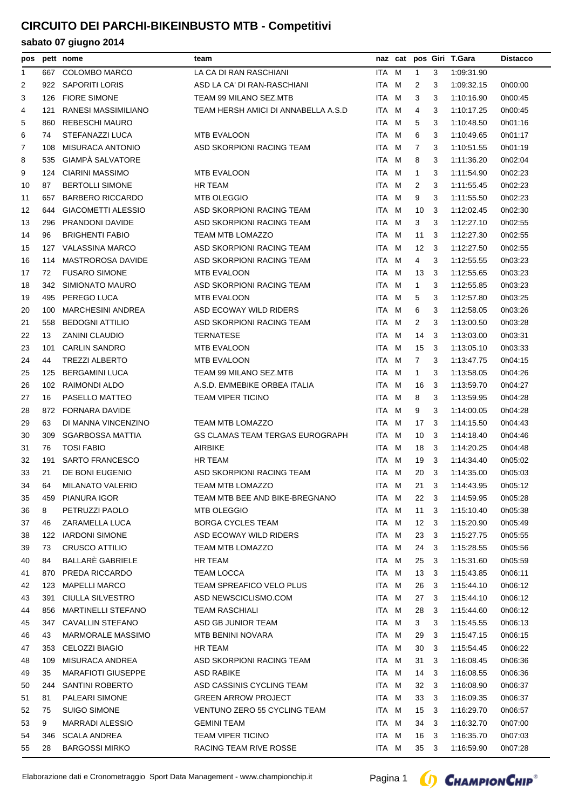| <b>COLOMBO MARCO</b><br>LA CA DI RAN RASCHIANI<br>ITA M<br>3<br>667<br>$\mathbf{1}$<br>1:09:31.90<br>1<br>$\overline{2}$<br>SAPORITI LORIS<br>ASD LA CA' DI RAN-RASCHIANI<br>ITA M<br>2<br>1:09:32.15<br>0h00:00<br>922<br>3<br>3<br><b>FIORE SIMONE</b><br>TEAM 99 MILANO SEZ.MTB<br>ITA M<br>3<br>1:10:16.90<br>0h00:45<br>126<br>3<br>RANESI MASSIMILIANO<br>TEAM HERSH AMICI DI ANNABELLA A.S.D<br>ITA.<br>M<br>1:10:17.25<br>121<br>4<br>3<br>0h00:45<br>4<br><b>REBESCHI MAURO</b><br>5<br>860<br>ITA M<br>5<br>3<br>1:10:48.50<br>0h01:16<br>STEFANAZZI LUCA<br><b>MTB EVALOON</b><br>ITA M<br>6<br>6<br>74<br>3<br>1:10:49.65<br>0h01:17<br><b>MISURACA ANTONIO</b><br>ASD SKORPIONI RACING TEAM<br>ITA M<br>7<br>3<br>1:10:51.55<br>7<br>108<br>0h01:19<br>GIAMPÀ SALVATORE<br>ITA M<br>8<br>1:11:36.20<br>8<br>535<br>3<br>0h02:04<br>9<br><b>CIARINI MASSIMO</b><br><b>MTB EVALOON</b><br>ITA M<br>1:11:54.90<br>0h02:23<br>124<br>1<br>3<br>87<br><b>BERTOLLI SIMONE</b><br><b>HR TEAM</b><br>ITA.<br>M<br>2<br>3<br>1:11:55.45<br>0h02:23<br>10<br><b>BARBERO RICCARDO</b><br><b>MTB OLEGGIO</b><br>ITA M<br>9<br>3<br>0h02:23<br>11<br>657<br>1:11:55.50<br><b>GIACOMETTI ALESSIO</b><br>ASD SKORPIONI RACING TEAM<br>ITA M<br>10<br>1:12:02.45<br>0h02:30<br>12<br>644<br>3<br><b>PRANDONI DAVIDE</b><br>ASD SKORPIONI RACING TEAM<br>ITA M<br>3<br>3<br>13<br>296<br>1:12:27.10<br>0h02:55<br><b>BRIGHENTI FABIO</b><br>TEAM MTB LOMAZZO<br>11<br>14<br>96<br>ITA M<br>3<br>1:12:27.30<br>0h02:55<br><b>VALASSINA MARCO</b><br>ASD SKORPIONI RACING TEAM<br>ITA M<br>$12 \overline{ }$<br>1:12:27.50<br>15<br>127<br>3<br>0h02:55<br><b>MASTROROSA DAVIDE</b><br>ASD SKORPIONI RACING TEAM<br>ITA.<br>M<br>1:12:55.55<br>16<br>114<br>4<br>3<br>0h03:23<br>72<br><b>FUSARO SIMONE</b><br>17<br>MTB EVALOON<br>ITA M<br>13<br>3<br>1:12:55.65<br>0h03:23<br>SIMIONATO MAURO<br>ASD SKORPIONI RACING TEAM<br>ITA M<br>1:12:55.85<br>18<br>342<br>1<br>3<br>0h03:23<br>PEREGO LUCA<br><b>MTB EVALOON</b><br>5<br>19<br>495<br>ITA M<br>3<br>1:12:57.80<br>0h03:25<br><b>MARCHESINI ANDREA</b><br>ASD ECOWAY WILD RIDERS<br>6<br>3<br>20<br>100<br>ITA M<br>1:12:58.05<br>0h03:26<br><b>BEDOGNI ATTILIO</b><br>ASD SKORPIONI RACING TEAM<br>ITA M<br>2<br>3<br>1:13:00.50<br>0h03:28<br>21<br>558<br>22<br>13<br><b>ZANINI CLAUDIO</b><br><b>TERNATESE</b><br>ITA.<br>M<br>14<br>3<br>1:13:03.00<br>0h03:31<br><b>CARLIN SANDRO</b><br><b>MTB EVALOON</b><br>ITA<br>M<br>15<br>23<br>101<br>-3<br>1:13:05.10<br>0h03:33<br>44<br><b>TREZZI ALBERTO</b><br><b>MTB EVALOON</b><br>ITA M<br>$\overline{7}$<br>24<br>3<br>1:13:47.75<br>0h04:15<br><b>BERGAMINI LUCA</b><br>TEAM 99 MILANO SEZ.MTB<br>ITA M<br>25<br>125<br>$\mathbf{1}$<br>3<br>1:13:58.05<br>0h04:26<br>26<br>RAIMONDI ALDO<br>A.S.D. EMMEBIKE ORBEA ITALIA<br>102<br>ITA M<br>16<br>3<br>1:13:59.70<br>0h04:27<br>PASELLO MATTEO<br>TEAM VIPER TICINO<br>ITA M<br>27<br>16<br>8<br>3<br>1:13:59.95<br>0h04:28<br><b>FORNARA DAVIDE</b><br>9<br>28<br>872<br>ITA.<br>M<br>3<br>1:14:00.05<br>0h04:28<br>TEAM MTB LOMAZZO<br>M<br>29<br>63<br>DI MANNA VINCENZINO<br>ITA<br>17<br>3<br>1:14:15.50<br>0h04:43<br><b>SGARBOSSA MATTIA</b><br>GS CLAMAS TEAM TERGAS EUROGRAPH<br>30<br>309<br>ITA M<br>10<br>3<br>1:14:18.40<br>0h04:46<br><b>TOSI FABIO</b><br>AIRBIKE<br>31<br>76<br>ITA M<br>18<br>3<br>1:14:20.25<br>0h04:48<br>32<br><b>SARTO FRANCESCO</b><br>HR TEAM<br>191<br>ITA M<br>19<br>1:14:34.40<br>0h05:02<br>3<br>33<br>21<br>DE BONI EUGENIO<br>ASD SKORPIONI RACING TEAM<br>ITA M<br>20<br>-3<br>1:14:35.00<br>0h05:03<br>ITA M<br>21<br>MILANATO VALERIO<br>TEAM MTB LOMAZZO<br>3 1:14:43.95<br>34<br>64<br>0h05:12<br>459 PIANURA IGOR<br>TEAM MTB BEE AND BIKE-BREGNANO<br>22 3<br>1:14:59.95<br>0h05:28<br>35<br>ITA M<br>PETRUZZI PAOLO<br>36<br>8<br>MTB OLEGGIO<br>ITA M<br>11<br>1:15:10.40<br>0h05:38<br>3<br><b>BORGA CYCLES TEAM</b><br>37<br>46<br>ZARAMELLA LUCA<br>ITA M<br>12 <sup>2</sup><br>1:15:20.90<br>0h05:49<br>- 3<br><b>IARDONI SIMONE</b><br>ASD ECOWAY WILD RIDERS<br>ITA M<br>23<br>1:15:27.75<br>38<br>122<br>- 3<br>0h05:55<br><b>CRUSCO ATTILIO</b><br>TEAM MTB LOMAZZO<br>ITA M<br>39<br>24<br>1:15:28.55<br>0h05:56<br>73<br>-3<br>BALLARÈ GABRIELE<br>HR TEAM<br>40<br>84<br>ITA M<br>25<br>- 3<br>1:15:31.60<br>0h05:59<br>PREDA RICCARDO<br>TEAM LOCCA<br>ITA M<br>13<br>1:15:43.85<br>0h06:11<br>41<br>870<br>- 3<br><b>MAPELLI MARCO</b><br>TEAM SPREAFICO VELO PLUS<br>ITA M<br>123<br>26<br>1:15:44.10<br>0h06:12<br>42<br>3<br><b>CIULLA SILVESTRO</b><br>ASD NEWSCICLISMO.COM<br>ITA M<br>43<br>391<br>27<br>3<br>1:15:44.10<br>0h06:12<br><b>MARTINELLI STEFANO</b><br>856<br>TEAM RASCHIALI<br>ITA M<br>28<br>1:15:44.60<br>0h06:12<br>44<br>3<br>CAVALLIN STEFANO<br>ASD GB JUNIOR TEAM<br>ITA M<br>3<br>1:15:45.55<br>0h06:13<br>45<br>347<br>3<br><b>MARMORALE MASSIMO</b><br>43<br>MTB BENINI NOVARA<br>ITA M<br>29<br>3<br>1:15:47.15<br>0h06:15<br>46<br><b>CELOZZI BIAGIO</b><br>HR TEAM<br>ITA M<br>30<br>1:15:54.45<br>0h06:22<br>47<br>353<br>3<br>MISURACA ANDREA<br>ASD SKORPIONI RACING TEAM<br>ITA M<br>31<br>1:16:08.45<br>0h06:36<br>48<br>109<br>3<br><b>MARAFIOTI GIUSEPPE</b><br>35<br>ASD RABIKE<br>ITA M<br>14<br>- 3<br>1:16:08.55<br>0h06:36<br>49<br>SANTINI ROBERTO<br>ASD CASSINIS CYCLING TEAM<br>ITA M<br>$32 \quad 3$<br>1:16:08.90<br>0h06:37<br>50<br>244<br>PALEARI SIMONE<br><b>GREEN ARROW PROJECT</b><br>81<br>ITA M<br>33<br>1:16:09.35<br>0h06:37<br>51<br>- 3<br><b>SUIGO SIMONE</b><br>VENTUNO ZERO 55 CYCLING TEAM<br>ITA M<br>15<br>1:16:29.70<br>0h06:57<br>52<br>75<br>- 3 | pos | pett nome | team | naz cat |  | pos Giri T.Gara | <b>Distacco</b> |
|-----------------------------------------------------------------------------------------------------------------------------------------------------------------------------------------------------------------------------------------------------------------------------------------------------------------------------------------------------------------------------------------------------------------------------------------------------------------------------------------------------------------------------------------------------------------------------------------------------------------------------------------------------------------------------------------------------------------------------------------------------------------------------------------------------------------------------------------------------------------------------------------------------------------------------------------------------------------------------------------------------------------------------------------------------------------------------------------------------------------------------------------------------------------------------------------------------------------------------------------------------------------------------------------------------------------------------------------------------------------------------------------------------------------------------------------------------------------------------------------------------------------------------------------------------------------------------------------------------------------------------------------------------------------------------------------------------------------------------------------------------------------------------------------------------------------------------------------------------------------------------------------------------------------------------------------------------------------------------------------------------------------------------------------------------------------------------------------------------------------------------------------------------------------------------------------------------------------------------------------------------------------------------------------------------------------------------------------------------------------------------------------------------------------------------------------------------------------------------------------------------------------------------------------------------------------------------------------------------------------------------------------------------------------------------------------------------------------------------------------------------------------------------------------------------------------------------------------------------------------------------------------------------------------------------------------------------------------------------------------------------------------------------------------------------------------------------------------------------------------------------------------------------------------------------------------------------------------------------------------------------------------------------------------------------------------------------------------------------------------------------------------------------------------------------------------------------------------------------------------------------------------------------------------------------------------------------------------------------------------------------------------------------------------------------------------------------------------------------------------------------------------------------------------------------------------------------------------------------------------------------------------------------------------------------------------------------------------------------------------------------------------------------------------------------------------------------------------------------------------------------------------------------------------------------------------------------------------------------------------------------------------------------------------------------------------------------------------------------------------------------------------------------------------------------------------------------------------------------------------------------------------------------------------------------------------------------------------------------------------------------------------------------------------------------------------------------------------------------------------------------------------------------------------------------------------------------------------------------------------------------------------------------------------------------------------------------------------------------------------------------------------------------------------------------------------------------------------------------------------------------------------------------------------------------------------------------------------------------------------------------------------------------------------------------------------------------------------------------------------------------------------------------------------------------------------------------------------------------------------------------------------------------------------------------------------------------------------------------------------------------------------------------------|-----|-----------|------|---------|--|-----------------|-----------------|
|                                                                                                                                                                                                                                                                                                                                                                                                                                                                                                                                                                                                                                                                                                                                                                                                                                                                                                                                                                                                                                                                                                                                                                                                                                                                                                                                                                                                                                                                                                                                                                                                                                                                                                                                                                                                                                                                                                                                                                                                                                                                                                                                                                                                                                                                                                                                                                                                                                                                                                                                                                                                                                                                                                                                                                                                                                                                                                                                                                                                                                                                                                                                                                                                                                                                                                                                                                                                                                                                                                                                                                                                                                                                                                                                                                                                                                                                                                                                                                                                                                                                                                                                                                                                                                                                                                                                                                                                                                                                                                                                                                                                                                                                                                                                                                                                                                                                                                                                                                                                                                                                                                                                                                                                                                                                                                                                                                                                                                                                                                                                                                                                                                                           |     |           |      |         |  |                 |                 |
|                                                                                                                                                                                                                                                                                                                                                                                                                                                                                                                                                                                                                                                                                                                                                                                                                                                                                                                                                                                                                                                                                                                                                                                                                                                                                                                                                                                                                                                                                                                                                                                                                                                                                                                                                                                                                                                                                                                                                                                                                                                                                                                                                                                                                                                                                                                                                                                                                                                                                                                                                                                                                                                                                                                                                                                                                                                                                                                                                                                                                                                                                                                                                                                                                                                                                                                                                                                                                                                                                                                                                                                                                                                                                                                                                                                                                                                                                                                                                                                                                                                                                                                                                                                                                                                                                                                                                                                                                                                                                                                                                                                                                                                                                                                                                                                                                                                                                                                                                                                                                                                                                                                                                                                                                                                                                                                                                                                                                                                                                                                                                                                                                                                           |     |           |      |         |  |                 |                 |
|                                                                                                                                                                                                                                                                                                                                                                                                                                                                                                                                                                                                                                                                                                                                                                                                                                                                                                                                                                                                                                                                                                                                                                                                                                                                                                                                                                                                                                                                                                                                                                                                                                                                                                                                                                                                                                                                                                                                                                                                                                                                                                                                                                                                                                                                                                                                                                                                                                                                                                                                                                                                                                                                                                                                                                                                                                                                                                                                                                                                                                                                                                                                                                                                                                                                                                                                                                                                                                                                                                                                                                                                                                                                                                                                                                                                                                                                                                                                                                                                                                                                                                                                                                                                                                                                                                                                                                                                                                                                                                                                                                                                                                                                                                                                                                                                                                                                                                                                                                                                                                                                                                                                                                                                                                                                                                                                                                                                                                                                                                                                                                                                                                                           |     |           |      |         |  |                 |                 |
|                                                                                                                                                                                                                                                                                                                                                                                                                                                                                                                                                                                                                                                                                                                                                                                                                                                                                                                                                                                                                                                                                                                                                                                                                                                                                                                                                                                                                                                                                                                                                                                                                                                                                                                                                                                                                                                                                                                                                                                                                                                                                                                                                                                                                                                                                                                                                                                                                                                                                                                                                                                                                                                                                                                                                                                                                                                                                                                                                                                                                                                                                                                                                                                                                                                                                                                                                                                                                                                                                                                                                                                                                                                                                                                                                                                                                                                                                                                                                                                                                                                                                                                                                                                                                                                                                                                                                                                                                                                                                                                                                                                                                                                                                                                                                                                                                                                                                                                                                                                                                                                                                                                                                                                                                                                                                                                                                                                                                                                                                                                                                                                                                                                           |     |           |      |         |  |                 |                 |
|                                                                                                                                                                                                                                                                                                                                                                                                                                                                                                                                                                                                                                                                                                                                                                                                                                                                                                                                                                                                                                                                                                                                                                                                                                                                                                                                                                                                                                                                                                                                                                                                                                                                                                                                                                                                                                                                                                                                                                                                                                                                                                                                                                                                                                                                                                                                                                                                                                                                                                                                                                                                                                                                                                                                                                                                                                                                                                                                                                                                                                                                                                                                                                                                                                                                                                                                                                                                                                                                                                                                                                                                                                                                                                                                                                                                                                                                                                                                                                                                                                                                                                                                                                                                                                                                                                                                                                                                                                                                                                                                                                                                                                                                                                                                                                                                                                                                                                                                                                                                                                                                                                                                                                                                                                                                                                                                                                                                                                                                                                                                                                                                                                                           |     |           |      |         |  |                 |                 |
|                                                                                                                                                                                                                                                                                                                                                                                                                                                                                                                                                                                                                                                                                                                                                                                                                                                                                                                                                                                                                                                                                                                                                                                                                                                                                                                                                                                                                                                                                                                                                                                                                                                                                                                                                                                                                                                                                                                                                                                                                                                                                                                                                                                                                                                                                                                                                                                                                                                                                                                                                                                                                                                                                                                                                                                                                                                                                                                                                                                                                                                                                                                                                                                                                                                                                                                                                                                                                                                                                                                                                                                                                                                                                                                                                                                                                                                                                                                                                                                                                                                                                                                                                                                                                                                                                                                                                                                                                                                                                                                                                                                                                                                                                                                                                                                                                                                                                                                                                                                                                                                                                                                                                                                                                                                                                                                                                                                                                                                                                                                                                                                                                                                           |     |           |      |         |  |                 |                 |
|                                                                                                                                                                                                                                                                                                                                                                                                                                                                                                                                                                                                                                                                                                                                                                                                                                                                                                                                                                                                                                                                                                                                                                                                                                                                                                                                                                                                                                                                                                                                                                                                                                                                                                                                                                                                                                                                                                                                                                                                                                                                                                                                                                                                                                                                                                                                                                                                                                                                                                                                                                                                                                                                                                                                                                                                                                                                                                                                                                                                                                                                                                                                                                                                                                                                                                                                                                                                                                                                                                                                                                                                                                                                                                                                                                                                                                                                                                                                                                                                                                                                                                                                                                                                                                                                                                                                                                                                                                                                                                                                                                                                                                                                                                                                                                                                                                                                                                                                                                                                                                                                                                                                                                                                                                                                                                                                                                                                                                                                                                                                                                                                                                                           |     |           |      |         |  |                 |                 |
|                                                                                                                                                                                                                                                                                                                                                                                                                                                                                                                                                                                                                                                                                                                                                                                                                                                                                                                                                                                                                                                                                                                                                                                                                                                                                                                                                                                                                                                                                                                                                                                                                                                                                                                                                                                                                                                                                                                                                                                                                                                                                                                                                                                                                                                                                                                                                                                                                                                                                                                                                                                                                                                                                                                                                                                                                                                                                                                                                                                                                                                                                                                                                                                                                                                                                                                                                                                                                                                                                                                                                                                                                                                                                                                                                                                                                                                                                                                                                                                                                                                                                                                                                                                                                                                                                                                                                                                                                                                                                                                                                                                                                                                                                                                                                                                                                                                                                                                                                                                                                                                                                                                                                                                                                                                                                                                                                                                                                                                                                                                                                                                                                                                           |     |           |      |         |  |                 |                 |
|                                                                                                                                                                                                                                                                                                                                                                                                                                                                                                                                                                                                                                                                                                                                                                                                                                                                                                                                                                                                                                                                                                                                                                                                                                                                                                                                                                                                                                                                                                                                                                                                                                                                                                                                                                                                                                                                                                                                                                                                                                                                                                                                                                                                                                                                                                                                                                                                                                                                                                                                                                                                                                                                                                                                                                                                                                                                                                                                                                                                                                                                                                                                                                                                                                                                                                                                                                                                                                                                                                                                                                                                                                                                                                                                                                                                                                                                                                                                                                                                                                                                                                                                                                                                                                                                                                                                                                                                                                                                                                                                                                                                                                                                                                                                                                                                                                                                                                                                                                                                                                                                                                                                                                                                                                                                                                                                                                                                                                                                                                                                                                                                                                                           |     |           |      |         |  |                 |                 |
|                                                                                                                                                                                                                                                                                                                                                                                                                                                                                                                                                                                                                                                                                                                                                                                                                                                                                                                                                                                                                                                                                                                                                                                                                                                                                                                                                                                                                                                                                                                                                                                                                                                                                                                                                                                                                                                                                                                                                                                                                                                                                                                                                                                                                                                                                                                                                                                                                                                                                                                                                                                                                                                                                                                                                                                                                                                                                                                                                                                                                                                                                                                                                                                                                                                                                                                                                                                                                                                                                                                                                                                                                                                                                                                                                                                                                                                                                                                                                                                                                                                                                                                                                                                                                                                                                                                                                                                                                                                                                                                                                                                                                                                                                                                                                                                                                                                                                                                                                                                                                                                                                                                                                                                                                                                                                                                                                                                                                                                                                                                                                                                                                                                           |     |           |      |         |  |                 |                 |
|                                                                                                                                                                                                                                                                                                                                                                                                                                                                                                                                                                                                                                                                                                                                                                                                                                                                                                                                                                                                                                                                                                                                                                                                                                                                                                                                                                                                                                                                                                                                                                                                                                                                                                                                                                                                                                                                                                                                                                                                                                                                                                                                                                                                                                                                                                                                                                                                                                                                                                                                                                                                                                                                                                                                                                                                                                                                                                                                                                                                                                                                                                                                                                                                                                                                                                                                                                                                                                                                                                                                                                                                                                                                                                                                                                                                                                                                                                                                                                                                                                                                                                                                                                                                                                                                                                                                                                                                                                                                                                                                                                                                                                                                                                                                                                                                                                                                                                                                                                                                                                                                                                                                                                                                                                                                                                                                                                                                                                                                                                                                                                                                                                                           |     |           |      |         |  |                 |                 |
|                                                                                                                                                                                                                                                                                                                                                                                                                                                                                                                                                                                                                                                                                                                                                                                                                                                                                                                                                                                                                                                                                                                                                                                                                                                                                                                                                                                                                                                                                                                                                                                                                                                                                                                                                                                                                                                                                                                                                                                                                                                                                                                                                                                                                                                                                                                                                                                                                                                                                                                                                                                                                                                                                                                                                                                                                                                                                                                                                                                                                                                                                                                                                                                                                                                                                                                                                                                                                                                                                                                                                                                                                                                                                                                                                                                                                                                                                                                                                                                                                                                                                                                                                                                                                                                                                                                                                                                                                                                                                                                                                                                                                                                                                                                                                                                                                                                                                                                                                                                                                                                                                                                                                                                                                                                                                                                                                                                                                                                                                                                                                                                                                                                           |     |           |      |         |  |                 |                 |
|                                                                                                                                                                                                                                                                                                                                                                                                                                                                                                                                                                                                                                                                                                                                                                                                                                                                                                                                                                                                                                                                                                                                                                                                                                                                                                                                                                                                                                                                                                                                                                                                                                                                                                                                                                                                                                                                                                                                                                                                                                                                                                                                                                                                                                                                                                                                                                                                                                                                                                                                                                                                                                                                                                                                                                                                                                                                                                                                                                                                                                                                                                                                                                                                                                                                                                                                                                                                                                                                                                                                                                                                                                                                                                                                                                                                                                                                                                                                                                                                                                                                                                                                                                                                                                                                                                                                                                                                                                                                                                                                                                                                                                                                                                                                                                                                                                                                                                                                                                                                                                                                                                                                                                                                                                                                                                                                                                                                                                                                                                                                                                                                                                                           |     |           |      |         |  |                 |                 |
|                                                                                                                                                                                                                                                                                                                                                                                                                                                                                                                                                                                                                                                                                                                                                                                                                                                                                                                                                                                                                                                                                                                                                                                                                                                                                                                                                                                                                                                                                                                                                                                                                                                                                                                                                                                                                                                                                                                                                                                                                                                                                                                                                                                                                                                                                                                                                                                                                                                                                                                                                                                                                                                                                                                                                                                                                                                                                                                                                                                                                                                                                                                                                                                                                                                                                                                                                                                                                                                                                                                                                                                                                                                                                                                                                                                                                                                                                                                                                                                                                                                                                                                                                                                                                                                                                                                                                                                                                                                                                                                                                                                                                                                                                                                                                                                                                                                                                                                                                                                                                                                                                                                                                                                                                                                                                                                                                                                                                                                                                                                                                                                                                                                           |     |           |      |         |  |                 |                 |
|                                                                                                                                                                                                                                                                                                                                                                                                                                                                                                                                                                                                                                                                                                                                                                                                                                                                                                                                                                                                                                                                                                                                                                                                                                                                                                                                                                                                                                                                                                                                                                                                                                                                                                                                                                                                                                                                                                                                                                                                                                                                                                                                                                                                                                                                                                                                                                                                                                                                                                                                                                                                                                                                                                                                                                                                                                                                                                                                                                                                                                                                                                                                                                                                                                                                                                                                                                                                                                                                                                                                                                                                                                                                                                                                                                                                                                                                                                                                                                                                                                                                                                                                                                                                                                                                                                                                                                                                                                                                                                                                                                                                                                                                                                                                                                                                                                                                                                                                                                                                                                                                                                                                                                                                                                                                                                                                                                                                                                                                                                                                                                                                                                                           |     |           |      |         |  |                 |                 |
|                                                                                                                                                                                                                                                                                                                                                                                                                                                                                                                                                                                                                                                                                                                                                                                                                                                                                                                                                                                                                                                                                                                                                                                                                                                                                                                                                                                                                                                                                                                                                                                                                                                                                                                                                                                                                                                                                                                                                                                                                                                                                                                                                                                                                                                                                                                                                                                                                                                                                                                                                                                                                                                                                                                                                                                                                                                                                                                                                                                                                                                                                                                                                                                                                                                                                                                                                                                                                                                                                                                                                                                                                                                                                                                                                                                                                                                                                                                                                                                                                                                                                                                                                                                                                                                                                                                                                                                                                                                                                                                                                                                                                                                                                                                                                                                                                                                                                                                                                                                                                                                                                                                                                                                                                                                                                                                                                                                                                                                                                                                                                                                                                                                           |     |           |      |         |  |                 |                 |
|                                                                                                                                                                                                                                                                                                                                                                                                                                                                                                                                                                                                                                                                                                                                                                                                                                                                                                                                                                                                                                                                                                                                                                                                                                                                                                                                                                                                                                                                                                                                                                                                                                                                                                                                                                                                                                                                                                                                                                                                                                                                                                                                                                                                                                                                                                                                                                                                                                                                                                                                                                                                                                                                                                                                                                                                                                                                                                                                                                                                                                                                                                                                                                                                                                                                                                                                                                                                                                                                                                                                                                                                                                                                                                                                                                                                                                                                                                                                                                                                                                                                                                                                                                                                                                                                                                                                                                                                                                                                                                                                                                                                                                                                                                                                                                                                                                                                                                                                                                                                                                                                                                                                                                                                                                                                                                                                                                                                                                                                                                                                                                                                                                                           |     |           |      |         |  |                 |                 |
|                                                                                                                                                                                                                                                                                                                                                                                                                                                                                                                                                                                                                                                                                                                                                                                                                                                                                                                                                                                                                                                                                                                                                                                                                                                                                                                                                                                                                                                                                                                                                                                                                                                                                                                                                                                                                                                                                                                                                                                                                                                                                                                                                                                                                                                                                                                                                                                                                                                                                                                                                                                                                                                                                                                                                                                                                                                                                                                                                                                                                                                                                                                                                                                                                                                                                                                                                                                                                                                                                                                                                                                                                                                                                                                                                                                                                                                                                                                                                                                                                                                                                                                                                                                                                                                                                                                                                                                                                                                                                                                                                                                                                                                                                                                                                                                                                                                                                                                                                                                                                                                                                                                                                                                                                                                                                                                                                                                                                                                                                                                                                                                                                                                           |     |           |      |         |  |                 |                 |
|                                                                                                                                                                                                                                                                                                                                                                                                                                                                                                                                                                                                                                                                                                                                                                                                                                                                                                                                                                                                                                                                                                                                                                                                                                                                                                                                                                                                                                                                                                                                                                                                                                                                                                                                                                                                                                                                                                                                                                                                                                                                                                                                                                                                                                                                                                                                                                                                                                                                                                                                                                                                                                                                                                                                                                                                                                                                                                                                                                                                                                                                                                                                                                                                                                                                                                                                                                                                                                                                                                                                                                                                                                                                                                                                                                                                                                                                                                                                                                                                                                                                                                                                                                                                                                                                                                                                                                                                                                                                                                                                                                                                                                                                                                                                                                                                                                                                                                                                                                                                                                                                                                                                                                                                                                                                                                                                                                                                                                                                                                                                                                                                                                                           |     |           |      |         |  |                 |                 |
|                                                                                                                                                                                                                                                                                                                                                                                                                                                                                                                                                                                                                                                                                                                                                                                                                                                                                                                                                                                                                                                                                                                                                                                                                                                                                                                                                                                                                                                                                                                                                                                                                                                                                                                                                                                                                                                                                                                                                                                                                                                                                                                                                                                                                                                                                                                                                                                                                                                                                                                                                                                                                                                                                                                                                                                                                                                                                                                                                                                                                                                                                                                                                                                                                                                                                                                                                                                                                                                                                                                                                                                                                                                                                                                                                                                                                                                                                                                                                                                                                                                                                                                                                                                                                                                                                                                                                                                                                                                                                                                                                                                                                                                                                                                                                                                                                                                                                                                                                                                                                                                                                                                                                                                                                                                                                                                                                                                                                                                                                                                                                                                                                                                           |     |           |      |         |  |                 |                 |
|                                                                                                                                                                                                                                                                                                                                                                                                                                                                                                                                                                                                                                                                                                                                                                                                                                                                                                                                                                                                                                                                                                                                                                                                                                                                                                                                                                                                                                                                                                                                                                                                                                                                                                                                                                                                                                                                                                                                                                                                                                                                                                                                                                                                                                                                                                                                                                                                                                                                                                                                                                                                                                                                                                                                                                                                                                                                                                                                                                                                                                                                                                                                                                                                                                                                                                                                                                                                                                                                                                                                                                                                                                                                                                                                                                                                                                                                                                                                                                                                                                                                                                                                                                                                                                                                                                                                                                                                                                                                                                                                                                                                                                                                                                                                                                                                                                                                                                                                                                                                                                                                                                                                                                                                                                                                                                                                                                                                                                                                                                                                                                                                                                                           |     |           |      |         |  |                 |                 |
|                                                                                                                                                                                                                                                                                                                                                                                                                                                                                                                                                                                                                                                                                                                                                                                                                                                                                                                                                                                                                                                                                                                                                                                                                                                                                                                                                                                                                                                                                                                                                                                                                                                                                                                                                                                                                                                                                                                                                                                                                                                                                                                                                                                                                                                                                                                                                                                                                                                                                                                                                                                                                                                                                                                                                                                                                                                                                                                                                                                                                                                                                                                                                                                                                                                                                                                                                                                                                                                                                                                                                                                                                                                                                                                                                                                                                                                                                                                                                                                                                                                                                                                                                                                                                                                                                                                                                                                                                                                                                                                                                                                                                                                                                                                                                                                                                                                                                                                                                                                                                                                                                                                                                                                                                                                                                                                                                                                                                                                                                                                                                                                                                                                           |     |           |      |         |  |                 |                 |
|                                                                                                                                                                                                                                                                                                                                                                                                                                                                                                                                                                                                                                                                                                                                                                                                                                                                                                                                                                                                                                                                                                                                                                                                                                                                                                                                                                                                                                                                                                                                                                                                                                                                                                                                                                                                                                                                                                                                                                                                                                                                                                                                                                                                                                                                                                                                                                                                                                                                                                                                                                                                                                                                                                                                                                                                                                                                                                                                                                                                                                                                                                                                                                                                                                                                                                                                                                                                                                                                                                                                                                                                                                                                                                                                                                                                                                                                                                                                                                                                                                                                                                                                                                                                                                                                                                                                                                                                                                                                                                                                                                                                                                                                                                                                                                                                                                                                                                                                                                                                                                                                                                                                                                                                                                                                                                                                                                                                                                                                                                                                                                                                                                                           |     |           |      |         |  |                 |                 |
|                                                                                                                                                                                                                                                                                                                                                                                                                                                                                                                                                                                                                                                                                                                                                                                                                                                                                                                                                                                                                                                                                                                                                                                                                                                                                                                                                                                                                                                                                                                                                                                                                                                                                                                                                                                                                                                                                                                                                                                                                                                                                                                                                                                                                                                                                                                                                                                                                                                                                                                                                                                                                                                                                                                                                                                                                                                                                                                                                                                                                                                                                                                                                                                                                                                                                                                                                                                                                                                                                                                                                                                                                                                                                                                                                                                                                                                                                                                                                                                                                                                                                                                                                                                                                                                                                                                                                                                                                                                                                                                                                                                                                                                                                                                                                                                                                                                                                                                                                                                                                                                                                                                                                                                                                                                                                                                                                                                                                                                                                                                                                                                                                                                           |     |           |      |         |  |                 |                 |
|                                                                                                                                                                                                                                                                                                                                                                                                                                                                                                                                                                                                                                                                                                                                                                                                                                                                                                                                                                                                                                                                                                                                                                                                                                                                                                                                                                                                                                                                                                                                                                                                                                                                                                                                                                                                                                                                                                                                                                                                                                                                                                                                                                                                                                                                                                                                                                                                                                                                                                                                                                                                                                                                                                                                                                                                                                                                                                                                                                                                                                                                                                                                                                                                                                                                                                                                                                                                                                                                                                                                                                                                                                                                                                                                                                                                                                                                                                                                                                                                                                                                                                                                                                                                                                                                                                                                                                                                                                                                                                                                                                                                                                                                                                                                                                                                                                                                                                                                                                                                                                                                                                                                                                                                                                                                                                                                                                                                                                                                                                                                                                                                                                                           |     |           |      |         |  |                 |                 |
|                                                                                                                                                                                                                                                                                                                                                                                                                                                                                                                                                                                                                                                                                                                                                                                                                                                                                                                                                                                                                                                                                                                                                                                                                                                                                                                                                                                                                                                                                                                                                                                                                                                                                                                                                                                                                                                                                                                                                                                                                                                                                                                                                                                                                                                                                                                                                                                                                                                                                                                                                                                                                                                                                                                                                                                                                                                                                                                                                                                                                                                                                                                                                                                                                                                                                                                                                                                                                                                                                                                                                                                                                                                                                                                                                                                                                                                                                                                                                                                                                                                                                                                                                                                                                                                                                                                                                                                                                                                                                                                                                                                                                                                                                                                                                                                                                                                                                                                                                                                                                                                                                                                                                                                                                                                                                                                                                                                                                                                                                                                                                                                                                                                           |     |           |      |         |  |                 |                 |
|                                                                                                                                                                                                                                                                                                                                                                                                                                                                                                                                                                                                                                                                                                                                                                                                                                                                                                                                                                                                                                                                                                                                                                                                                                                                                                                                                                                                                                                                                                                                                                                                                                                                                                                                                                                                                                                                                                                                                                                                                                                                                                                                                                                                                                                                                                                                                                                                                                                                                                                                                                                                                                                                                                                                                                                                                                                                                                                                                                                                                                                                                                                                                                                                                                                                                                                                                                                                                                                                                                                                                                                                                                                                                                                                                                                                                                                                                                                                                                                                                                                                                                                                                                                                                                                                                                                                                                                                                                                                                                                                                                                                                                                                                                                                                                                                                                                                                                                                                                                                                                                                                                                                                                                                                                                                                                                                                                                                                                                                                                                                                                                                                                                           |     |           |      |         |  |                 |                 |
|                                                                                                                                                                                                                                                                                                                                                                                                                                                                                                                                                                                                                                                                                                                                                                                                                                                                                                                                                                                                                                                                                                                                                                                                                                                                                                                                                                                                                                                                                                                                                                                                                                                                                                                                                                                                                                                                                                                                                                                                                                                                                                                                                                                                                                                                                                                                                                                                                                                                                                                                                                                                                                                                                                                                                                                                                                                                                                                                                                                                                                                                                                                                                                                                                                                                                                                                                                                                                                                                                                                                                                                                                                                                                                                                                                                                                                                                                                                                                                                                                                                                                                                                                                                                                                                                                                                                                                                                                                                                                                                                                                                                                                                                                                                                                                                                                                                                                                                                                                                                                                                                                                                                                                                                                                                                                                                                                                                                                                                                                                                                                                                                                                                           |     |           |      |         |  |                 |                 |
|                                                                                                                                                                                                                                                                                                                                                                                                                                                                                                                                                                                                                                                                                                                                                                                                                                                                                                                                                                                                                                                                                                                                                                                                                                                                                                                                                                                                                                                                                                                                                                                                                                                                                                                                                                                                                                                                                                                                                                                                                                                                                                                                                                                                                                                                                                                                                                                                                                                                                                                                                                                                                                                                                                                                                                                                                                                                                                                                                                                                                                                                                                                                                                                                                                                                                                                                                                                                                                                                                                                                                                                                                                                                                                                                                                                                                                                                                                                                                                                                                                                                                                                                                                                                                                                                                                                                                                                                                                                                                                                                                                                                                                                                                                                                                                                                                                                                                                                                                                                                                                                                                                                                                                                                                                                                                                                                                                                                                                                                                                                                                                                                                                                           |     |           |      |         |  |                 |                 |
|                                                                                                                                                                                                                                                                                                                                                                                                                                                                                                                                                                                                                                                                                                                                                                                                                                                                                                                                                                                                                                                                                                                                                                                                                                                                                                                                                                                                                                                                                                                                                                                                                                                                                                                                                                                                                                                                                                                                                                                                                                                                                                                                                                                                                                                                                                                                                                                                                                                                                                                                                                                                                                                                                                                                                                                                                                                                                                                                                                                                                                                                                                                                                                                                                                                                                                                                                                                                                                                                                                                                                                                                                                                                                                                                                                                                                                                                                                                                                                                                                                                                                                                                                                                                                                                                                                                                                                                                                                                                                                                                                                                                                                                                                                                                                                                                                                                                                                                                                                                                                                                                                                                                                                                                                                                                                                                                                                                                                                                                                                                                                                                                                                                           |     |           |      |         |  |                 |                 |
|                                                                                                                                                                                                                                                                                                                                                                                                                                                                                                                                                                                                                                                                                                                                                                                                                                                                                                                                                                                                                                                                                                                                                                                                                                                                                                                                                                                                                                                                                                                                                                                                                                                                                                                                                                                                                                                                                                                                                                                                                                                                                                                                                                                                                                                                                                                                                                                                                                                                                                                                                                                                                                                                                                                                                                                                                                                                                                                                                                                                                                                                                                                                                                                                                                                                                                                                                                                                                                                                                                                                                                                                                                                                                                                                                                                                                                                                                                                                                                                                                                                                                                                                                                                                                                                                                                                                                                                                                                                                                                                                                                                                                                                                                                                                                                                                                                                                                                                                                                                                                                                                                                                                                                                                                                                                                                                                                                                                                                                                                                                                                                                                                                                           |     |           |      |         |  |                 |                 |
|                                                                                                                                                                                                                                                                                                                                                                                                                                                                                                                                                                                                                                                                                                                                                                                                                                                                                                                                                                                                                                                                                                                                                                                                                                                                                                                                                                                                                                                                                                                                                                                                                                                                                                                                                                                                                                                                                                                                                                                                                                                                                                                                                                                                                                                                                                                                                                                                                                                                                                                                                                                                                                                                                                                                                                                                                                                                                                                                                                                                                                                                                                                                                                                                                                                                                                                                                                                                                                                                                                                                                                                                                                                                                                                                                                                                                                                                                                                                                                                                                                                                                                                                                                                                                                                                                                                                                                                                                                                                                                                                                                                                                                                                                                                                                                                                                                                                                                                                                                                                                                                                                                                                                                                                                                                                                                                                                                                                                                                                                                                                                                                                                                                           |     |           |      |         |  |                 |                 |
|                                                                                                                                                                                                                                                                                                                                                                                                                                                                                                                                                                                                                                                                                                                                                                                                                                                                                                                                                                                                                                                                                                                                                                                                                                                                                                                                                                                                                                                                                                                                                                                                                                                                                                                                                                                                                                                                                                                                                                                                                                                                                                                                                                                                                                                                                                                                                                                                                                                                                                                                                                                                                                                                                                                                                                                                                                                                                                                                                                                                                                                                                                                                                                                                                                                                                                                                                                                                                                                                                                                                                                                                                                                                                                                                                                                                                                                                                                                                                                                                                                                                                                                                                                                                                                                                                                                                                                                                                                                                                                                                                                                                                                                                                                                                                                                                                                                                                                                                                                                                                                                                                                                                                                                                                                                                                                                                                                                                                                                                                                                                                                                                                                                           |     |           |      |         |  |                 |                 |
|                                                                                                                                                                                                                                                                                                                                                                                                                                                                                                                                                                                                                                                                                                                                                                                                                                                                                                                                                                                                                                                                                                                                                                                                                                                                                                                                                                                                                                                                                                                                                                                                                                                                                                                                                                                                                                                                                                                                                                                                                                                                                                                                                                                                                                                                                                                                                                                                                                                                                                                                                                                                                                                                                                                                                                                                                                                                                                                                                                                                                                                                                                                                                                                                                                                                                                                                                                                                                                                                                                                                                                                                                                                                                                                                                                                                                                                                                                                                                                                                                                                                                                                                                                                                                                                                                                                                                                                                                                                                                                                                                                                                                                                                                                                                                                                                                                                                                                                                                                                                                                                                                                                                                                                                                                                                                                                                                                                                                                                                                                                                                                                                                                                           |     |           |      |         |  |                 |                 |
|                                                                                                                                                                                                                                                                                                                                                                                                                                                                                                                                                                                                                                                                                                                                                                                                                                                                                                                                                                                                                                                                                                                                                                                                                                                                                                                                                                                                                                                                                                                                                                                                                                                                                                                                                                                                                                                                                                                                                                                                                                                                                                                                                                                                                                                                                                                                                                                                                                                                                                                                                                                                                                                                                                                                                                                                                                                                                                                                                                                                                                                                                                                                                                                                                                                                                                                                                                                                                                                                                                                                                                                                                                                                                                                                                                                                                                                                                                                                                                                                                                                                                                                                                                                                                                                                                                                                                                                                                                                                                                                                                                                                                                                                                                                                                                                                                                                                                                                                                                                                                                                                                                                                                                                                                                                                                                                                                                                                                                                                                                                                                                                                                                                           |     |           |      |         |  |                 |                 |
|                                                                                                                                                                                                                                                                                                                                                                                                                                                                                                                                                                                                                                                                                                                                                                                                                                                                                                                                                                                                                                                                                                                                                                                                                                                                                                                                                                                                                                                                                                                                                                                                                                                                                                                                                                                                                                                                                                                                                                                                                                                                                                                                                                                                                                                                                                                                                                                                                                                                                                                                                                                                                                                                                                                                                                                                                                                                                                                                                                                                                                                                                                                                                                                                                                                                                                                                                                                                                                                                                                                                                                                                                                                                                                                                                                                                                                                                                                                                                                                                                                                                                                                                                                                                                                                                                                                                                                                                                                                                                                                                                                                                                                                                                                                                                                                                                                                                                                                                                                                                                                                                                                                                                                                                                                                                                                                                                                                                                                                                                                                                                                                                                                                           |     |           |      |         |  |                 |                 |
|                                                                                                                                                                                                                                                                                                                                                                                                                                                                                                                                                                                                                                                                                                                                                                                                                                                                                                                                                                                                                                                                                                                                                                                                                                                                                                                                                                                                                                                                                                                                                                                                                                                                                                                                                                                                                                                                                                                                                                                                                                                                                                                                                                                                                                                                                                                                                                                                                                                                                                                                                                                                                                                                                                                                                                                                                                                                                                                                                                                                                                                                                                                                                                                                                                                                                                                                                                                                                                                                                                                                                                                                                                                                                                                                                                                                                                                                                                                                                                                                                                                                                                                                                                                                                                                                                                                                                                                                                                                                                                                                                                                                                                                                                                                                                                                                                                                                                                                                                                                                                                                                                                                                                                                                                                                                                                                                                                                                                                                                                                                                                                                                                                                           |     |           |      |         |  |                 |                 |
|                                                                                                                                                                                                                                                                                                                                                                                                                                                                                                                                                                                                                                                                                                                                                                                                                                                                                                                                                                                                                                                                                                                                                                                                                                                                                                                                                                                                                                                                                                                                                                                                                                                                                                                                                                                                                                                                                                                                                                                                                                                                                                                                                                                                                                                                                                                                                                                                                                                                                                                                                                                                                                                                                                                                                                                                                                                                                                                                                                                                                                                                                                                                                                                                                                                                                                                                                                                                                                                                                                                                                                                                                                                                                                                                                                                                                                                                                                                                                                                                                                                                                                                                                                                                                                                                                                                                                                                                                                                                                                                                                                                                                                                                                                                                                                                                                                                                                                                                                                                                                                                                                                                                                                                                                                                                                                                                                                                                                                                                                                                                                                                                                                                           |     |           |      |         |  |                 |                 |
|                                                                                                                                                                                                                                                                                                                                                                                                                                                                                                                                                                                                                                                                                                                                                                                                                                                                                                                                                                                                                                                                                                                                                                                                                                                                                                                                                                                                                                                                                                                                                                                                                                                                                                                                                                                                                                                                                                                                                                                                                                                                                                                                                                                                                                                                                                                                                                                                                                                                                                                                                                                                                                                                                                                                                                                                                                                                                                                                                                                                                                                                                                                                                                                                                                                                                                                                                                                                                                                                                                                                                                                                                                                                                                                                                                                                                                                                                                                                                                                                                                                                                                                                                                                                                                                                                                                                                                                                                                                                                                                                                                                                                                                                                                                                                                                                                                                                                                                                                                                                                                                                                                                                                                                                                                                                                                                                                                                                                                                                                                                                                                                                                                                           |     |           |      |         |  |                 |                 |
|                                                                                                                                                                                                                                                                                                                                                                                                                                                                                                                                                                                                                                                                                                                                                                                                                                                                                                                                                                                                                                                                                                                                                                                                                                                                                                                                                                                                                                                                                                                                                                                                                                                                                                                                                                                                                                                                                                                                                                                                                                                                                                                                                                                                                                                                                                                                                                                                                                                                                                                                                                                                                                                                                                                                                                                                                                                                                                                                                                                                                                                                                                                                                                                                                                                                                                                                                                                                                                                                                                                                                                                                                                                                                                                                                                                                                                                                                                                                                                                                                                                                                                                                                                                                                                                                                                                                                                                                                                                                                                                                                                                                                                                                                                                                                                                                                                                                                                                                                                                                                                                                                                                                                                                                                                                                                                                                                                                                                                                                                                                                                                                                                                                           |     |           |      |         |  |                 |                 |
|                                                                                                                                                                                                                                                                                                                                                                                                                                                                                                                                                                                                                                                                                                                                                                                                                                                                                                                                                                                                                                                                                                                                                                                                                                                                                                                                                                                                                                                                                                                                                                                                                                                                                                                                                                                                                                                                                                                                                                                                                                                                                                                                                                                                                                                                                                                                                                                                                                                                                                                                                                                                                                                                                                                                                                                                                                                                                                                                                                                                                                                                                                                                                                                                                                                                                                                                                                                                                                                                                                                                                                                                                                                                                                                                                                                                                                                                                                                                                                                                                                                                                                                                                                                                                                                                                                                                                                                                                                                                                                                                                                                                                                                                                                                                                                                                                                                                                                                                                                                                                                                                                                                                                                                                                                                                                                                                                                                                                                                                                                                                                                                                                                                           |     |           |      |         |  |                 |                 |
|                                                                                                                                                                                                                                                                                                                                                                                                                                                                                                                                                                                                                                                                                                                                                                                                                                                                                                                                                                                                                                                                                                                                                                                                                                                                                                                                                                                                                                                                                                                                                                                                                                                                                                                                                                                                                                                                                                                                                                                                                                                                                                                                                                                                                                                                                                                                                                                                                                                                                                                                                                                                                                                                                                                                                                                                                                                                                                                                                                                                                                                                                                                                                                                                                                                                                                                                                                                                                                                                                                                                                                                                                                                                                                                                                                                                                                                                                                                                                                                                                                                                                                                                                                                                                                                                                                                                                                                                                                                                                                                                                                                                                                                                                                                                                                                                                                                                                                                                                                                                                                                                                                                                                                                                                                                                                                                                                                                                                                                                                                                                                                                                                                                           |     |           |      |         |  |                 |                 |
|                                                                                                                                                                                                                                                                                                                                                                                                                                                                                                                                                                                                                                                                                                                                                                                                                                                                                                                                                                                                                                                                                                                                                                                                                                                                                                                                                                                                                                                                                                                                                                                                                                                                                                                                                                                                                                                                                                                                                                                                                                                                                                                                                                                                                                                                                                                                                                                                                                                                                                                                                                                                                                                                                                                                                                                                                                                                                                                                                                                                                                                                                                                                                                                                                                                                                                                                                                                                                                                                                                                                                                                                                                                                                                                                                                                                                                                                                                                                                                                                                                                                                                                                                                                                                                                                                                                                                                                                                                                                                                                                                                                                                                                                                                                                                                                                                                                                                                                                                                                                                                                                                                                                                                                                                                                                                                                                                                                                                                                                                                                                                                                                                                                           |     |           |      |         |  |                 |                 |
|                                                                                                                                                                                                                                                                                                                                                                                                                                                                                                                                                                                                                                                                                                                                                                                                                                                                                                                                                                                                                                                                                                                                                                                                                                                                                                                                                                                                                                                                                                                                                                                                                                                                                                                                                                                                                                                                                                                                                                                                                                                                                                                                                                                                                                                                                                                                                                                                                                                                                                                                                                                                                                                                                                                                                                                                                                                                                                                                                                                                                                                                                                                                                                                                                                                                                                                                                                                                                                                                                                                                                                                                                                                                                                                                                                                                                                                                                                                                                                                                                                                                                                                                                                                                                                                                                                                                                                                                                                                                                                                                                                                                                                                                                                                                                                                                                                                                                                                                                                                                                                                                                                                                                                                                                                                                                                                                                                                                                                                                                                                                                                                                                                                           |     |           |      |         |  |                 |                 |
|                                                                                                                                                                                                                                                                                                                                                                                                                                                                                                                                                                                                                                                                                                                                                                                                                                                                                                                                                                                                                                                                                                                                                                                                                                                                                                                                                                                                                                                                                                                                                                                                                                                                                                                                                                                                                                                                                                                                                                                                                                                                                                                                                                                                                                                                                                                                                                                                                                                                                                                                                                                                                                                                                                                                                                                                                                                                                                                                                                                                                                                                                                                                                                                                                                                                                                                                                                                                                                                                                                                                                                                                                                                                                                                                                                                                                                                                                                                                                                                                                                                                                                                                                                                                                                                                                                                                                                                                                                                                                                                                                                                                                                                                                                                                                                                                                                                                                                                                                                                                                                                                                                                                                                                                                                                                                                                                                                                                                                                                                                                                                                                                                                                           |     |           |      |         |  |                 |                 |
|                                                                                                                                                                                                                                                                                                                                                                                                                                                                                                                                                                                                                                                                                                                                                                                                                                                                                                                                                                                                                                                                                                                                                                                                                                                                                                                                                                                                                                                                                                                                                                                                                                                                                                                                                                                                                                                                                                                                                                                                                                                                                                                                                                                                                                                                                                                                                                                                                                                                                                                                                                                                                                                                                                                                                                                                                                                                                                                                                                                                                                                                                                                                                                                                                                                                                                                                                                                                                                                                                                                                                                                                                                                                                                                                                                                                                                                                                                                                                                                                                                                                                                                                                                                                                                                                                                                                                                                                                                                                                                                                                                                                                                                                                                                                                                                                                                                                                                                                                                                                                                                                                                                                                                                                                                                                                                                                                                                                                                                                                                                                                                                                                                                           |     |           |      |         |  |                 |                 |
|                                                                                                                                                                                                                                                                                                                                                                                                                                                                                                                                                                                                                                                                                                                                                                                                                                                                                                                                                                                                                                                                                                                                                                                                                                                                                                                                                                                                                                                                                                                                                                                                                                                                                                                                                                                                                                                                                                                                                                                                                                                                                                                                                                                                                                                                                                                                                                                                                                                                                                                                                                                                                                                                                                                                                                                                                                                                                                                                                                                                                                                                                                                                                                                                                                                                                                                                                                                                                                                                                                                                                                                                                                                                                                                                                                                                                                                                                                                                                                                                                                                                                                                                                                                                                                                                                                                                                                                                                                                                                                                                                                                                                                                                                                                                                                                                                                                                                                                                                                                                                                                                                                                                                                                                                                                                                                                                                                                                                                                                                                                                                                                                                                                           |     |           |      |         |  |                 |                 |
|                                                                                                                                                                                                                                                                                                                                                                                                                                                                                                                                                                                                                                                                                                                                                                                                                                                                                                                                                                                                                                                                                                                                                                                                                                                                                                                                                                                                                                                                                                                                                                                                                                                                                                                                                                                                                                                                                                                                                                                                                                                                                                                                                                                                                                                                                                                                                                                                                                                                                                                                                                                                                                                                                                                                                                                                                                                                                                                                                                                                                                                                                                                                                                                                                                                                                                                                                                                                                                                                                                                                                                                                                                                                                                                                                                                                                                                                                                                                                                                                                                                                                                                                                                                                                                                                                                                                                                                                                                                                                                                                                                                                                                                                                                                                                                                                                                                                                                                                                                                                                                                                                                                                                                                                                                                                                                                                                                                                                                                                                                                                                                                                                                                           |     |           |      |         |  |                 |                 |
|                                                                                                                                                                                                                                                                                                                                                                                                                                                                                                                                                                                                                                                                                                                                                                                                                                                                                                                                                                                                                                                                                                                                                                                                                                                                                                                                                                                                                                                                                                                                                                                                                                                                                                                                                                                                                                                                                                                                                                                                                                                                                                                                                                                                                                                                                                                                                                                                                                                                                                                                                                                                                                                                                                                                                                                                                                                                                                                                                                                                                                                                                                                                                                                                                                                                                                                                                                                                                                                                                                                                                                                                                                                                                                                                                                                                                                                                                                                                                                                                                                                                                                                                                                                                                                                                                                                                                                                                                                                                                                                                                                                                                                                                                                                                                                                                                                                                                                                                                                                                                                                                                                                                                                                                                                                                                                                                                                                                                                                                                                                                                                                                                                                           |     |           |      |         |  |                 |                 |
|                                                                                                                                                                                                                                                                                                                                                                                                                                                                                                                                                                                                                                                                                                                                                                                                                                                                                                                                                                                                                                                                                                                                                                                                                                                                                                                                                                                                                                                                                                                                                                                                                                                                                                                                                                                                                                                                                                                                                                                                                                                                                                                                                                                                                                                                                                                                                                                                                                                                                                                                                                                                                                                                                                                                                                                                                                                                                                                                                                                                                                                                                                                                                                                                                                                                                                                                                                                                                                                                                                                                                                                                                                                                                                                                                                                                                                                                                                                                                                                                                                                                                                                                                                                                                                                                                                                                                                                                                                                                                                                                                                                                                                                                                                                                                                                                                                                                                                                                                                                                                                                                                                                                                                                                                                                                                                                                                                                                                                                                                                                                                                                                                                                           |     |           |      |         |  |                 |                 |
|                                                                                                                                                                                                                                                                                                                                                                                                                                                                                                                                                                                                                                                                                                                                                                                                                                                                                                                                                                                                                                                                                                                                                                                                                                                                                                                                                                                                                                                                                                                                                                                                                                                                                                                                                                                                                                                                                                                                                                                                                                                                                                                                                                                                                                                                                                                                                                                                                                                                                                                                                                                                                                                                                                                                                                                                                                                                                                                                                                                                                                                                                                                                                                                                                                                                                                                                                                                                                                                                                                                                                                                                                                                                                                                                                                                                                                                                                                                                                                                                                                                                                                                                                                                                                                                                                                                                                                                                                                                                                                                                                                                                                                                                                                                                                                                                                                                                                                                                                                                                                                                                                                                                                                                                                                                                                                                                                                                                                                                                                                                                                                                                                                                           |     |           |      |         |  |                 |                 |
|                                                                                                                                                                                                                                                                                                                                                                                                                                                                                                                                                                                                                                                                                                                                                                                                                                                                                                                                                                                                                                                                                                                                                                                                                                                                                                                                                                                                                                                                                                                                                                                                                                                                                                                                                                                                                                                                                                                                                                                                                                                                                                                                                                                                                                                                                                                                                                                                                                                                                                                                                                                                                                                                                                                                                                                                                                                                                                                                                                                                                                                                                                                                                                                                                                                                                                                                                                                                                                                                                                                                                                                                                                                                                                                                                                                                                                                                                                                                                                                                                                                                                                                                                                                                                                                                                                                                                                                                                                                                                                                                                                                                                                                                                                                                                                                                                                                                                                                                                                                                                                                                                                                                                                                                                                                                                                                                                                                                                                                                                                                                                                                                                                                           |     |           |      |         |  |                 |                 |
|                                                                                                                                                                                                                                                                                                                                                                                                                                                                                                                                                                                                                                                                                                                                                                                                                                                                                                                                                                                                                                                                                                                                                                                                                                                                                                                                                                                                                                                                                                                                                                                                                                                                                                                                                                                                                                                                                                                                                                                                                                                                                                                                                                                                                                                                                                                                                                                                                                                                                                                                                                                                                                                                                                                                                                                                                                                                                                                                                                                                                                                                                                                                                                                                                                                                                                                                                                                                                                                                                                                                                                                                                                                                                                                                                                                                                                                                                                                                                                                                                                                                                                                                                                                                                                                                                                                                                                                                                                                                                                                                                                                                                                                                                                                                                                                                                                                                                                                                                                                                                                                                                                                                                                                                                                                                                                                                                                                                                                                                                                                                                                                                                                                           |     |           |      |         |  |                 |                 |
| 9<br><b>MARRADI ALESSIO</b><br><b>GEMINI TEAM</b><br>ITA M<br>34 3<br>1:16:32.70<br>0h07:00<br>53                                                                                                                                                                                                                                                                                                                                                                                                                                                                                                                                                                                                                                                                                                                                                                                                                                                                                                                                                                                                                                                                                                                                                                                                                                                                                                                                                                                                                                                                                                                                                                                                                                                                                                                                                                                                                                                                                                                                                                                                                                                                                                                                                                                                                                                                                                                                                                                                                                                                                                                                                                                                                                                                                                                                                                                                                                                                                                                                                                                                                                                                                                                                                                                                                                                                                                                                                                                                                                                                                                                                                                                                                                                                                                                                                                                                                                                                                                                                                                                                                                                                                                                                                                                                                                                                                                                                                                                                                                                                                                                                                                                                                                                                                                                                                                                                                                                                                                                                                                                                                                                                                                                                                                                                                                                                                                                                                                                                                                                                                                                                                         |     |           |      |         |  |                 |                 |
| <b>SCALA ANDREA</b><br>TEAM VIPER TICINO<br>ITA M<br>346<br>16<br>1:16:35.70<br>0h07:03<br>54<br>- 3                                                                                                                                                                                                                                                                                                                                                                                                                                                                                                                                                                                                                                                                                                                                                                                                                                                                                                                                                                                                                                                                                                                                                                                                                                                                                                                                                                                                                                                                                                                                                                                                                                                                                                                                                                                                                                                                                                                                                                                                                                                                                                                                                                                                                                                                                                                                                                                                                                                                                                                                                                                                                                                                                                                                                                                                                                                                                                                                                                                                                                                                                                                                                                                                                                                                                                                                                                                                                                                                                                                                                                                                                                                                                                                                                                                                                                                                                                                                                                                                                                                                                                                                                                                                                                                                                                                                                                                                                                                                                                                                                                                                                                                                                                                                                                                                                                                                                                                                                                                                                                                                                                                                                                                                                                                                                                                                                                                                                                                                                                                                                      |     |           |      |         |  |                 |                 |
| <b>BARGOSSI MIRKO</b><br>RACING TEAM RIVE ROSSE<br>55<br>28<br>ITA M<br>$35 \quad 3$<br>1:16:59.90<br>0h07:28                                                                                                                                                                                                                                                                                                                                                                                                                                                                                                                                                                                                                                                                                                                                                                                                                                                                                                                                                                                                                                                                                                                                                                                                                                                                                                                                                                                                                                                                                                                                                                                                                                                                                                                                                                                                                                                                                                                                                                                                                                                                                                                                                                                                                                                                                                                                                                                                                                                                                                                                                                                                                                                                                                                                                                                                                                                                                                                                                                                                                                                                                                                                                                                                                                                                                                                                                                                                                                                                                                                                                                                                                                                                                                                                                                                                                                                                                                                                                                                                                                                                                                                                                                                                                                                                                                                                                                                                                                                                                                                                                                                                                                                                                                                                                                                                                                                                                                                                                                                                                                                                                                                                                                                                                                                                                                                                                                                                                                                                                                                                             |     |           |      |         |  |                 |                 |

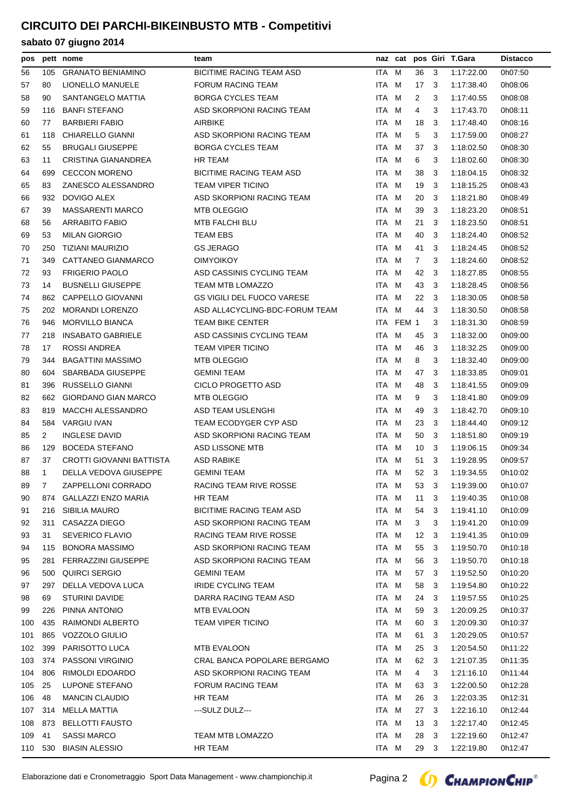| pos |              | pett nome                  | team                              |       |           |                |     | naz cat pos Giri T.Gara | <b>Distacco</b> |
|-----|--------------|----------------------------|-----------------------------------|-------|-----------|----------------|-----|-------------------------|-----------------|
| 56  | 105          | <b>GRANATO BENIAMINO</b>   | <b>BICITIME RACING TEAM ASD</b>   | ITA M |           | 36             | 3   | 1:17:22.00              | 0h07:50         |
| 57  | 80           | LIONELLO MANUELE           | <b>FORUM RACING TEAM</b>          | ITA M |           | 17             | 3   | 1:17:38.40              | 0h08:06         |
| 58  | 90           | SANTANGELO MATTIA          | <b>BORGA CYCLES TEAM</b>          | ITA   | M         | $\overline{2}$ | 3   | 1:17:40.55              | 0h08:08         |
| 59  | 116          | <b>BANFI STEFANO</b>       | ASD SKORPIONI RACING TEAM         | ITA   | M         | 4              | 3   | 1:17:43.70              | 0h08:11         |
| 60  | 77           | <b>BARBIERI FABIO</b>      | <b>AIRBIKE</b>                    | ITA M |           | 18             | 3   | 1:17:48.40              | 0h08:16         |
| 61  | 118          | CHIARELLO GIANNI           | ASD SKORPIONI RACING TEAM         | ITA M |           | 5              | 3   | 1:17:59.00              | 0h08:27         |
| 62  | 55           | <b>BRUGALI GIUSEPPE</b>    | BORGA CYCLES TEAM                 | ITA M |           | 37             | 3   | 1:18:02.50              | 0h08:30         |
| 63  | 11           | CRISTINA GIANANDREA        | <b>HR TEAM</b>                    | ITA M |           | 6              | 3   | 1:18:02.60              | 0h08:30         |
| 64  | 699          | <b>CECCON MORENO</b>       | <b>BICITIME RACING TEAM ASD</b>   | ITA M |           | 38             | 3   | 1:18:04.15              | 0h08:32         |
| 65  | 83           | ZANESCO ALESSANDRO         | <b>TEAM VIPER TICINO</b>          | ITA   | M         | 19             | 3   | 1:18:15.25              | 0h08:43         |
| 66  | 932          | DOVIGO ALEX                | ASD SKORPIONI RACING TEAM         | ITA M |           | 20             | -3  | 1:18:21.80              | 0h08:49         |
| 67  | 39           | <b>MASSARENTI MARCO</b>    | <b>MTB OLEGGIO</b>                | ITA M |           | 39             | 3   | 1:18:23.20              | 0h08:51         |
| 68  | 56           | ARRABITO FABIO             | <b>MTB FALCHI BLU</b>             | ITA M |           | 21             | 3   | 1:18:23.50              | 0h08:51         |
| 69  | 53           | <b>MILAN GIORGIO</b>       | TEAM EBS                          | ITA M |           | 40             | 3   | 1:18:24.40              | 0h08:52         |
| 70  | 250          | <b>TIZIANI MAURIZIO</b>    | <b>GS JERAGO</b>                  | ITA   | M         | 41             | 3   | 1:18:24.45              | 0h08:52         |
| 71  | 349          | CATTANEO GIANMARCO         | <b>OIMYOIKOY</b>                  | ITA.  | M         | $\overline{7}$ | 3   | 1:18:24.60              | 0h08:52         |
| 72  | 93           | <b>FRIGERIO PAOLO</b>      | ASD CASSINIS CYCLING TEAM         | ITA M |           | 42             | 3   | 1:18:27.85              | 0h08:55         |
| 73  | 14           | <b>BUSNELLI GIUSEPPE</b>   | <b>TEAM MTB LOMAZZO</b>           | ITA M |           | 43             | 3   | 1:18:28.45              | 0h08:56         |
| 74  | 862          | <b>CAPPELLO GIOVANNI</b>   | <b>GS VIGILI DEL FUOCO VARESE</b> | ITA M |           | 22             | 3   | 1:18:30.05              | 0h08:58         |
| 75  | 202          | <b>MORANDI LORENZO</b>     | ASD ALL4CYCLING-BDC-FORUM TEAM    | ITA M |           | 44             | -3  | 1:18:30.50              | 0h08:58         |
| 76  | 946          | <b>MORVILLO BIANCA</b>     | <b>TEAM BIKE CENTER</b>           |       | ITA FEM 1 |                | 3   | 1:18:31.30              | 0h08:59         |
| 77  | 218          | <b>INSABATO GABRIELE</b>   | ASD CASSINIS CYCLING TEAM         | ITA M |           | 45             | 3   | 1:18:32.00              | 0h09:00         |
| 78  | 17           | ROSSI ANDREA               | <b>TEAM VIPER TICINO</b>          | ITA M |           | 46             | -3  | 1:18:32.25              | 0h09:00         |
| 79  | 344          | <b>BAGATTINI MASSIMO</b>   | <b>MTB OLEGGIO</b>                | ITA M |           | 8              | 3   | 1:18:32.40              | 0h09:00         |
| 80  | 604          | <b>SBARBADA GIUSEPPE</b>   | <b>GEMINI TEAM</b>                | ITA M |           | 47             | 3   | 1:18:33.85              | 0h09:01         |
| 81  | 396          | RUSSELLO GIANNI            | CICLO PROGETTO ASD                | ITA M |           | 48             | -3  | 1:18:41.55              | 0h09:09         |
| 82  | 662          | <b>GIORDANO GIAN MARCO</b> | <b>MTB OLEGGIO</b>                | ITA   | M         | 9              | 3   | 1:18:41.80              | 0h09:09         |
| 83  | 819          | <b>MACCHI ALESSANDRO</b>   | ASD TEAM USLENGHI                 | ITA M |           | 49             | 3   | 1:18:42.70              | 0h09:10         |
| 84  |              | 584 VARGIU IVAN            | TEAM ECODYGER CYP ASD             | ITA M |           | 23             | -3  | 1:18:44.40              | 0h09:12         |
| 85  | 2            | <b>INGLESE DAVID</b>       | ASD SKORPIONI RACING TEAM         | ITA M |           | 50             | 3   | 1:18:51.80              | 0h09:19         |
| 86  | 129          | <b>BOCEDA STEFANO</b>      | ASD LISSONE MTB                   | ITA M |           | 10             | -3  | 1:19:06.15              | 0h09:34         |
| 87  | 37           | CROTTI GIOVANNI BATTISTA   | <b>ASD RABIKE</b>                 | ITA M |           | 51             | -3  | 1:19:28.95              | 0h09:57         |
| 88  | $\mathbf{1}$ | DELLA VEDOVA GIUSEPPE      | <b>GEMINI TEAM</b>                | ITA M |           | 52             | - 3 | 1:19:34.55              | 0h10:02         |
| 89  | $7^{\circ}$  | ZAPPELLONI CORRADO         | RACING TEAM RIVE ROSSE            | ITA M |           |                |     | 53 3 1:19:39.00         | 0h10:07         |
| 90  |              | 874 GALLAZZI ENZO MARIA    | HR TEAM                           | ITA M |           | 11             | 3   | 1:19:40.35              | 0h10:08         |
| 91  | 216          | <b>SIBILIA MAURO</b>       | BICITIME RACING TEAM ASD          | ITA M |           | 54             | 3   | 1:19:41.10              | 0h10:09         |
| 92  | 311          | CASAZZA DIEGO              | ASD SKORPIONI RACING TEAM         | ITA M |           | 3              | 3   | 1:19:41.20              | 0h10:09         |
| 93  | 31           | SEVERICO FLAVIO            | RACING TEAM RIVE ROSSE            | ITA M |           | 12             | - 3 | 1:19:41.35              | 0h10:09         |
| 94  | 115          | <b>BONORA MASSIMO</b>      | ASD SKORPIONI RACING TEAM         | ITA M |           | 55             | 3   | 1:19:50.70              | 0h10:18         |
| 95  | 281          | <b>FERRAZZINI GIUSEPPE</b> | ASD SKORPIONI RACING TEAM         | ITA M |           | 56             | -3  | 1:19:50.70              | 0h10:18         |
| 96  | 500          | QUIRCI SERGIO              | <b>GEMINI TEAM</b>                | ITA M |           | 57             | - 3 | 1:19:52.50              | 0h10:20         |
| 97  | 297          | DELLA VEDOVA LUCA          | <b>IRIDE CYCLING TEAM</b>         | ITA M |           | 58             | 3   | 1:19:54.80              | 0h10:22         |
| 98  | 69           | STURINI DAVIDE             | DARRA RACING TEAM ASD             | ITA M |           | 24             | 3   | 1:19:57.55              | 0h10:25         |
| 99  | 226          | PINNA ANTONIO              | MTB EVALOON                       | ITA M |           | 59             | -3  | 1:20:09.25              | 0h10:37         |
| 100 | 435          | RAIMONDI ALBERTO           | <b>TEAM VIPER TICINO</b>          | ITA M |           | 60             | 3   | 1:20:09.30              | 0h10:37         |
| 101 | 865          | VOZZOLO GIULIO             |                                   | ITA M |           | 61             | 3   | 1:20:29.05              | 0h10:57         |
| 102 | 399          | PARISOTTO LUCA             | MTB EVALOON                       | ITA M |           | 25             | 3   | 1:20:54.50              | 0h11:22         |
| 103 | 374          | PASSONI VIRGINIO           | CRAL BANCA POPOLARE BERGAMO       | ITA M |           | 62             | 3   | 1:21:07.35              | 0h11:35         |
| 104 | 806          | RIMOLDI EDOARDO            | ASD SKORPIONI RACING TEAM         | ITA M |           | 4              | 3   | 1:21:16.10              | 0h11:44         |
| 105 | 25           | LUPONE STEFANO             | <b>FORUM RACING TEAM</b>          | ITA M |           | 63             | 3   | 1:22:00.50              | 0h12:28         |
| 106 | 48           | <b>MANCIN CLAUDIO</b>      | HR TEAM                           | ITA M |           | 26             | 3   | 1:22:03.35              | 0h12:31         |
| 107 | 314          | MELLA MATTIA               | ---SULZ DULZ---                   | ITA M |           | 27             | -3  | 1:22:16.10              | 0h12:44         |
| 108 | 873          | <b>BELLOTTI FAUSTO</b>     |                                   | ITA M |           | 13             | -3  | 1:22:17.40              | 0h12:45         |
| 109 | 41           | SASSI MARCO                | TEAM MTB LOMAZZO                  | ITA M |           | 28             | 3   | 1:22:19.60              | 0h12:47         |
|     | 110 530      | <b>BIASIN ALESSIO</b>      | HR TEAM                           | ITA M |           | 29 3           |     | 1:22:19.80              | 0h12:47         |

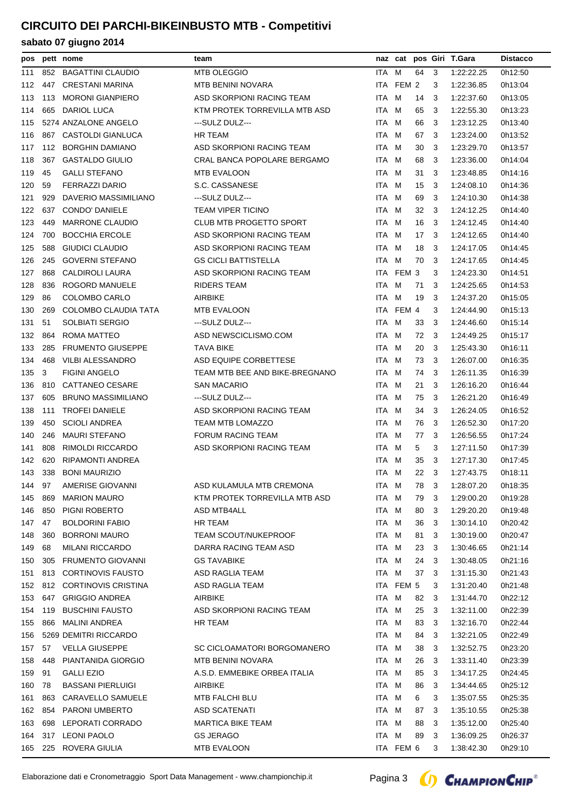| pos |     | pett nome                 | team                           |       |           |      |     | naz cat pos Giri T.Gara | <b>Distacco</b> |
|-----|-----|---------------------------|--------------------------------|-------|-----------|------|-----|-------------------------|-----------------|
| 111 | 852 | <b>BAGATTINI CLAUDIO</b>  | <b>MTB OLEGGIO</b>             | ITA M |           | 64   | 3   | 1:22:22.25              | 0h12:50         |
| 112 | 447 | <b>CRESTANI MARINA</b>    | <b>MTB BENINI NOVARA</b>       |       | ITA FEM 2 |      | 3   | 1:22:36.85              | 0h13:04         |
| 113 | 113 | <b>MORONI GIANPIERO</b>   | ASD SKORPIONI RACING TEAM      | ITA M |           | 14   | 3   | 1:22:37.60              | 0h13:05         |
| 114 | 665 | <b>DARIOL LUCA</b>        | KTM PROTEK TORREVILLA MTB ASD  | ITA M |           | 65   | -3  | 1:22:55.30              | 0h13:23         |
| 115 |     | 5274 ANZALONE ANGELO      | ---SULZ DULZ---                | ITA M |           | 66   | -3  | 1:23:12.25              | 0h13:40         |
| 116 | 867 | CASTOLDI GIANLUCA         | HR TEAM                        | ITA M |           | 67   | -3  | 1:23:24.00              | 0h13:52         |
| 117 | 112 | <b>BORGHIN DAMIANO</b>    | ASD SKORPIONI RACING TEAM      | ITA M |           | 30   | 3   | 1:23:29.70              | 0h13:57         |
| 118 | 367 | <b>GASTALDO GIULIO</b>    | CRAL BANCA POPOLARE BERGAMO    | ITA M |           | 68   | 3   | 1:23:36.00              | 0h14:04         |
| 119 | 45  | <b>GALLI STEFANO</b>      | <b>MTB EVALOON</b>             | ITA   | M         | 31   | 3   | 1:23:48.85              | 0h14:16         |
| 120 | 59  | <b>FERRAZZI DARIO</b>     | S.C. CASSANESE                 | ITA.  | M         | 15   | -3  | 1:24:08.10              | 0h14:36         |
| 121 | 929 | DAVERIO MASSIMILIANO      | ---SULZ DULZ---                | ITA M |           | 69   | -3  | 1:24:10.30              | 0h14:38         |
| 122 | 637 | <b>CONDO' DANIELE</b>     | <b>TEAM VIPER TICINO</b>       | ITA   | M         | 32   | -3  | 1:24:12.25              | 0h14:40         |
| 123 | 449 | <b>MARRONE CLAUDIO</b>    | <b>CLUB MTB PROGETTO SPORT</b> | ITA M |           | 16   | -3  | 1:24:12.45              | 0h14:40         |
| 124 | 700 | <b>BOCCHIA ERCOLE</b>     | ASD SKORPIONI RACING TEAM      | ITA M |           | 17   | -3  | 1:24:12.65              | 0h14:40         |
| 125 | 588 | GIUDICI CLAUDIO           | ASD SKORPIONI RACING TEAM      | ITA.  | M         | 18   | 3   | 1:24:17.05              | 0h14:45         |
| 126 | 245 | <b>GOVERNI STEFANO</b>    | <b>GS CICLI BATTISTELLA</b>    | ITA M |           | 70   | -3  | 1:24:17.65              | 0h14:45         |
| 127 | 868 | CALDIROLI LAURA           | ASD SKORPIONI RACING TEAM      |       | ITA FEM 3 |      | 3   | 1:24:23.30              | 0h14:51         |
| 128 | 836 | <b>ROGORD MANUELE</b>     | <b>RIDERS TEAM</b>             | ITA.  | M         | 71   | 3   | 1:24:25.65              | 0h14:53         |
| 129 | 86  | COLOMBO CARLO             | <b>AIRBIKE</b>                 | ITA M |           | 19   | 3   | 1:24:37.20              | 0h15:05         |
| 130 | 269 | COLOMBO CLAUDIA TATA      | <b>MTB EVALOON</b>             |       | ITA FEM 4 |      | 3   | 1:24:44.90              | 0h15:13         |
| 131 | 51  | <b>SOLBIATI SERGIO</b>    | ---SULZ DULZ---                | ITA.  | M         | 33   | -3  | 1:24:46.60              | 0h15:14         |
| 132 | 864 | ROMA MATTEO               | ASD NEWSCICLISMO.COM           | ITA M |           | 72   | - 3 | 1:24:49.25              | 0h15:17         |
| 133 | 285 | <b>FRUMENTO GIUSEPPE</b>  | TAVA BIKE                      | ITA M |           | 20   | -3  | 1:25:43.30              | 0h16:11         |
| 134 | 468 | <b>VILBI ALESSANDRO</b>   | ASD EQUIPE CORBETTESE          | ITA M |           | 73   | -3  | 1:26:07.00              | 0h16:35         |
| 135 | 3   | <b>FIGINI ANGELO</b>      | TEAM MTB BEE AND BIKE-BREGNANO | ITA M |           | 74   | -3  | 1:26:11.35              | 0h16:39         |
| 136 | 810 | <b>CATTANEO CESARE</b>    | <b>SAN MACARIO</b>             | ITA M |           | 21   | 3   | 1:26:16.20              | 0h16:44         |
| 137 | 605 | <b>BRUNO MASSIMILIANO</b> | ---SULZ DULZ---                | ITA.  | M         | 75   | 3   | 1:26:21.20              | 0h16:49         |
| 138 | 111 | <b>TROFEI DANIELE</b>     | ASD SKORPIONI RACING TEAM      | ITA M |           | 34   | -3  | 1:26:24.05              | 0h16:52         |
| 139 | 450 | <b>SCIOLI ANDREA</b>      | TEAM MTB LOMAZZO               | ITA M |           | 76   | -3  | 1:26:52.30              | 0h17:20         |
| 140 | 246 | <b>MAURI STEFANO</b>      | <b>FORUM RACING TEAM</b>       | ITA.  | M         | 77   | 3   | 1:26:56.55              | 0h17:24         |
| 141 | 808 | RIMOLDI RICCARDO          | ASD SKORPIONI RACING TEAM      | ITA M |           | 5    | 3   | 1:27:11.50              | 0h17:39         |
| 142 | 620 | <b>RIPAMONTI ANDREA</b>   |                                | ITA M |           | 35   | -3  | 1:27:17.30              | 0h17:45         |
| 143 | 338 | <b>BONI MAURIZIO</b>      |                                | ITA M |           | 22   | 3   | 1:27:43.75              | 0h18:11         |
| 144 |     | 97 AMERISE GIOVANNI       | ASD KULAMULA MTB CREMONA       | ITA M |           | 78 3 |     | 1:28:07.20              | 0h18:35         |
| 145 | 869 | <b>MARION MAURO</b>       | KTM PROTEK TORREVILLA MTB ASD  | ITA M |           | 79   | -3  | 1:29:00.20              | 0h19:28         |
| 146 | 850 | PIGNI ROBERTO             | ASD MTB4ALL                    | ITA M |           | 80   | 3   | 1:29:20.20              | 0h19:48         |
| 147 | 47  | <b>BOLDORINI FABIO</b>    | HR TEAM                        | ITA M |           | 36   | 3   | 1:30:14.10              | 0h20:42         |
| 148 | 360 | <b>BORRONI MAURO</b>      | TEAM SCOUT/NUKEPROOF           | ITA M |           | 81   | 3   | 1:30:19.00              | 0h20:47         |
| 149 | 68  | <b>MILANI RICCARDO</b>    | DARRA RACING TEAM ASD          | ITA M |           | 23   | 3   | 1:30:46.65              | 0h21:14         |
| 150 | 305 | <b>FRUMENTO GIOVANNI</b>  | <b>GS TAVABIKE</b>             | ITA M |           | 24   | -3  | 1:30:48.05              | 0h21:16         |
| 151 | 813 | <b>CORTINOVIS FAUSTO</b>  | ASD RAGLIA TEAM                | ITA M |           | 37   | - 3 | 1:31:15.30              | 0h21:43         |
| 152 |     | 812 CORTINOVIS CRISTINA   | ASD RAGLIA TEAM                |       | ITA FEM 5 |      | 3   | 1:31:20.40              | 0h21:48         |
| 153 |     | 647 GRIGGIO ANDREA        | AIRBIKE                        | ITA M |           | 82   | -3  | 1:31:44.70              | 0h22:12         |
| 154 | 119 | <b>BUSCHINI FAUSTO</b>    | ASD SKORPIONI RACING TEAM      | ITA M |           | 25   | -3  | 1:32:11.00              | 0h22:39         |
| 155 | 866 | <b>MALINI ANDREA</b>      | HR TEAM                        | ITA M |           | 83   | 3   | 1:32:16.70              | 0h22:44         |
| 156 |     | 5269 DEMITRI RICCARDO     |                                | ITA M |           | 84   | 3   | 1:32:21.05              | 0h22:49         |
| 157 | 57  | <b>VELLA GIUSEPPE</b>     | SC CICLOAMATORI BORGOMANERO    | ITA M |           | 38   | -3  | 1:32:52.75              | 0h23:20         |
| 158 | 448 | PIANTANIDA GIORGIO        | MTB BENINI NOVARA              | ITA M |           | 26   | 3   | 1:33:11.40              | 0h23:39         |
| 159 | 91  | <b>GALLI EZIO</b>         | A.S.D. EMMEBIKE ORBEA ITALIA   | ITA M |           | 85   | 3   | 1:34:17.25              | 0h24:45         |
| 160 | 78  | <b>BASSANI PIERLUIGI</b>  | AIRBIKE                        | ITA M |           | 86   | 3   | 1:34:44.65              | 0h25:12         |
| 161 | 863 | CARAVELLO SAMUELE         | MTB FALCHI BLU                 | ITA M |           | 6    | 3   | 1:35:07.55              | 0h25:35         |
| 162 | 854 | <b>PARONI UMBERTO</b>     | <b>ASD SCATENATI</b>           | ITA M |           | 87   | 3   | 1:35:10.55              | 0h25:38         |
| 163 | 698 | LEPORATI CORRADO          | <b>MARTICA BIKE TEAM</b>       | ITA M |           | 88   | 3   | 1:35:12.00              | 0h25:40         |
| 164 | 317 | <b>LEONI PAOLO</b>        | <b>GS JERAGO</b>               | ITA M |           | 89   | -3  | 1:36:09.25              | 0h26:37         |
|     |     | 165 225 ROVERA GIULIA     | MTB EVALOON                    |       | ITA FEM 6 |      | 3   | 1:38:42.30              | 0h29:10         |
|     |     |                           |                                |       |           |      |     |                         |                 |

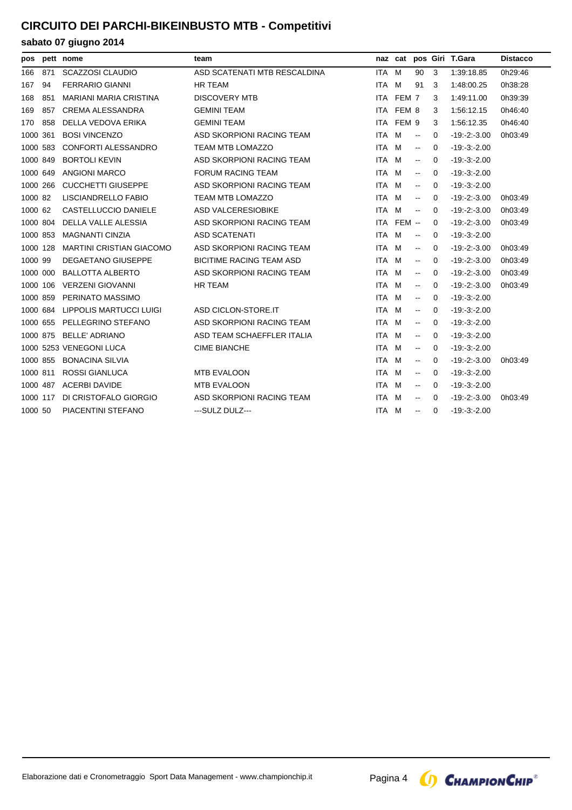|          |     | pos pett nome                   | team                            |            |            |                                               |          | naz cat pos Giri T.Gara | <b>Distacco</b> |
|----------|-----|---------------------------------|---------------------------------|------------|------------|-----------------------------------------------|----------|-------------------------|-----------------|
| 166      | 871 | <b>SCAZZOSI CLAUDIO</b>         | ASD SCATENATI MTB RESCALDINA    | <b>ITA</b> | M          | 90                                            | 3        | 1:39:18.85              | 0h29:46         |
| 167      | 94  | <b>FERRARIO GIANNI</b>          | <b>HR TEAM</b>                  | ITA.       | M          | 91                                            | 3        | 1:48:00.25              | 0h38:28         |
| 168      | 851 | MARIANI MARIA CRISTINA          | <b>DISCOVERY MTB</b>            |            | ITA FEM 7  |                                               | 3        | 1:49:11.00              | 0h39:39         |
| 169      | 857 | <b>CREMA ALESSANDRA</b>         | <b>GEMINI TEAM</b>              | ITA.       | FEM 8      |                                               | 3        | 1:56:12.15              | 0h46:40         |
| 170      | 858 | DELLA VEDOVA ERIKA              | <b>GEMINI TEAM</b>              |            | ITA FEM 9  |                                               | 3        | 1:56:12.35              | 0h46:40         |
| 1000 361 |     | <b>BOSI VINCENZO</b>            | ASD SKORPIONI RACING TEAM       | ITA M      |            | $\sim$                                        | 0        | $-19: -2: -3.00$        | 0h03:49         |
| 1000 583 |     | <b>CONFORTI ALESSANDRO</b>      | TEAM MTB LOMAZZO                | ITA M      |            | $\overline{\phantom{a}}$                      | $\Omega$ | $-19: -3: -2.00$        |                 |
| 1000 849 |     | <b>BORTOLI KEVIN</b>            | ASD SKORPIONI RACING TEAM       | ITA M      |            | $\overline{\phantom{a}}$                      | 0        | $-19 - 3 - 2.00$        |                 |
| 1000 649 |     | <b>ANGIONI MARCO</b>            | <b>FORUM RACING TEAM</b>        | ITA        | M          | $\mathord{\hspace{1pt}\text{--}\hspace{1pt}}$ | 0        | $-19: -3: -2.00$        |                 |
| 1000 266 |     | <b>CUCCHETTI GIUSEPPE</b>       | ASD SKORPIONI RACING TEAM       | ITA M      |            | $\mathord{\hspace{1pt}\text{--}\hspace{1pt}}$ | $\Omega$ | $-19: -3: -2.00$        |                 |
| 1000 82  |     | LISCIANDRELLO FABIO             | <b>TEAM MTB LOMAZZO</b>         | <b>ITA</b> | M          | $\mathord{\hspace{1pt}\text{--}\hspace{1pt}}$ | 0        | $-19 - 2 - 3.00$        | 0h03:49         |
| 1000 62  |     | CASTELLUCCIO DANIELE            | <b>ASD VALCERESIOBIKE</b>       | ITA M      |            | $\mathord{\hspace{1pt}\text{--}\hspace{1pt}}$ | $\Omega$ | $-19: -2: -3.00$        | 0h03:49         |
| 1000 804 |     | DELLA VALLE ALESSIA             | ASD SKORPIONI RACING TEAM       |            | ITA FEM -- |                                               | 0        | $-19: -2: -3.00$        | 0h03:49         |
| 1000 853 |     | <b>MAGNANTI CINZIA</b>          | ASD SCATENATI                   | ITA M      |            | $\mathord{\hspace{1pt}\text{--}\hspace{1pt}}$ | 0        | $-19 - 3 - 2.00$        |                 |
| 1000 128 |     | <b>MARTINI CRISTIAN GIACOMO</b> | ASD SKORPIONI RACING TEAM       | <b>ITA</b> | M          | $\overline{\phantom{a}}$                      | $\Omega$ | $-19: -2: -3.00$        | 0h03:49         |
| 1000 99  |     | <b>DEGAETANO GIUSEPPE</b>       | <b>BICITIME RACING TEAM ASD</b> | <b>ITA</b> | M          | $\sim$                                        | $\Omega$ | $-19: -2: -3.00$        | 0h03:49         |
| 1000 000 |     | <b>BALLOTTA ALBERTO</b>         | ASD SKORPIONI RACING TEAM       | ITA M      |            | $\mathord{\hspace{1pt}\text{--}\hspace{1pt}}$ | 0        | $-19 - 2 - 3.00$        | 0h03:49         |
| 1000 106 |     | <b>VERZENI GIOVANNI</b>         | <b>HR TEAM</b>                  | <b>ITA</b> | M          | $\overline{\phantom{a}}$                      | $\Omega$ | $-19: -2: -3.00$        | 0h03:49         |
| 1000 859 |     | PERINATO MASSIMO                |                                 | ITA M      |            | $\sim$                                        | $\Omega$ | $-19: -3: -2.00$        |                 |
| 1000 684 |     | LIPPOLIS MARTUCCI LUIGI         | ASD CICLON-STORE.IT             | ITA M      |            | $\mathord{\hspace{1pt}\text{--}\hspace{1pt}}$ | 0        | $-19 - 3 - 2.00$        |                 |
| 1000 655 |     | PELLEGRINO STEFANO              | ASD SKORPIONI RACING TEAM       | ITA M      |            | $\overline{\phantom{a}}$                      | $\Omega$ | $-19: -3: -2.00$        |                 |
| 1000 875 |     | <b>BELLE' ADRIANO</b>           | ASD TEAM SCHAEFFLER ITALIA      | ITA M      |            | $\overline{\phantom{a}}$                      | 0        | $-19 - 3 - 2.00$        |                 |
|          |     | 1000 5253 VENEGONI LUCA         | <b>CIME BIANCHE</b>             | <b>ITA</b> | M          | $\overline{\phantom{a}}$                      | 0        | $-19: -3: -2.00$        |                 |
| 1000 855 |     | <b>BONACINA SILVIA</b>          |                                 | ITA M      |            | $\mathord{\hspace{1pt}\text{--}\hspace{1pt}}$ | $\Omega$ | $-19: -2: -3.00$        | 0h03:49         |
| 1000 811 |     | <b>ROSSI GIANLUCA</b>           | <b>MTB EVALOON</b>              | ITA.       | M          | $\overline{\phantom{a}}$                      | 0        | $-19: -3: -2.00$        |                 |
|          |     | 1000 487 ACERBI DAVIDE          | <b>MTB EVALOON</b>              | ITA M      |            | $\overline{\phantom{a}}$                      | 0        | $-19: -3:-2.00$         |                 |
| 1000 117 |     | DI CRISTOFALO GIORGIO           | ASD SKORPIONI RACING TEAM       | <b>ITA</b> | M          | $\sim$                                        | 0        | $-19 - 2 - 3.00$        | 0h03:49         |
| 1000 50  |     | PIACENTINI STEFANO              | ---SULZ DULZ---                 | ITA M      |            | $\mathbf{u}$                                  | $\Omega$ | $-19: -3: -2.00$        |                 |

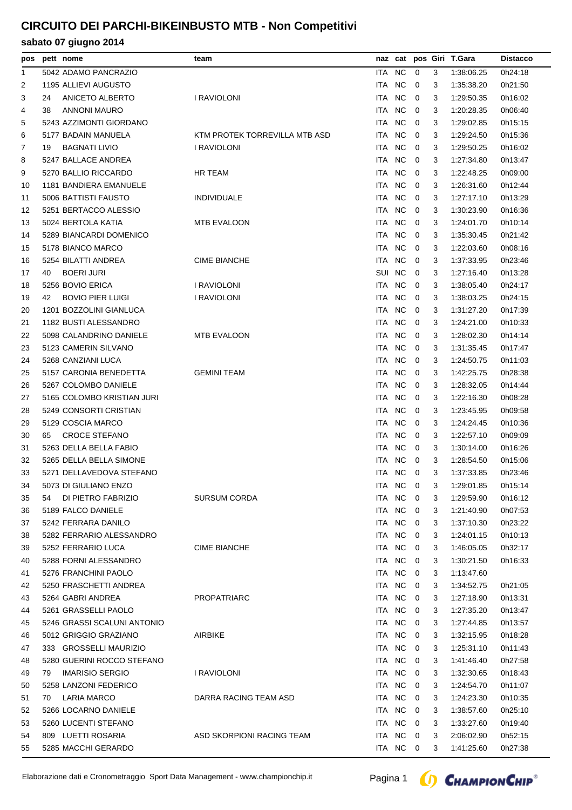## **sabato 07 giugno 2014**

| pos |    | pett nome                                    | team                          |            | naz cat        |                         |   | pos Giri T.Gara | <b>Distacco</b> |
|-----|----|----------------------------------------------|-------------------------------|------------|----------------|-------------------------|---|-----------------|-----------------|
| 1   |    | 5042 ADAMO PANCRAZIO                         |                               | ITA        | <b>NC</b>      | 0                       | 3 | 1:38:06.25      | 0h24:18         |
| 2   |    | 1195 ALLIEVI AUGUSTO                         |                               | ITA        | <b>NC</b>      | $\mathbf 0$             | 3 | 1:35:38.20      | 0h21:50         |
| 3   | 24 | ANICETO ALBERTO                              | I RAVIOLONI                   | <b>ITA</b> | <b>NC</b>      | $\mathbf 0$             | 3 | 1:29:50.35      | 0h16:02         |
| 4   | 38 | <b>ANNONI MAURO</b>                          |                               | ITA.       | <b>NC</b>      | $\mathbf 0$             | 3 | 1:20:28.35      | 0h06:40         |
| 5   |    | 5243 AZZIMONTI GIORDANO                      |                               | ITA.       | <b>NC</b>      | 0                       | 3 | 1:29:02.85      | 0h15:15         |
| 6   |    | 5177 BADAIN MANUELA                          | KTM PROTEK TORREVILLA MTB ASD | ITA.       | <b>NC</b>      | 0                       | 3 | 1:29:24.50      | 0h15:36         |
| 7   | 19 | <b>BAGNATI LIVIO</b>                         | I RAVIOLONI                   | ITA.       | <b>NC</b>      | $\mathbf 0$             | 3 | 1:29:50.25      | 0h16:02         |
| 8   |    | 5247 BALLACE ANDREA                          |                               | <b>ITA</b> | <b>NC</b>      | 0                       | 3 | 1:27:34.80      | 0h13:47         |
| 9   |    | 5270 BALLIO RICCARDO                         | HR TEAM                       | <b>ITA</b> | <b>NC</b>      | 0                       | 3 | 1:22:48.25      | 0h09:00         |
| 10  |    | 1181 BANDIERA EMANUELE                       |                               | <b>ITA</b> | <b>NC</b>      | 0                       | 3 | 1:26:31.60      | 0h12:44         |
| 11  |    | 5006 BATTISTI FAUSTO                         | <b>INDIVIDUALE</b>            | ITA.       | N <sub>C</sub> | 0                       | 3 | 1.27:17.10      | 0h13:29         |
| 12  |    | 5251 BERTACCO ALESSIO                        |                               | ITA.       | <b>NC</b>      | 0                       | 3 | 1:30:23.90      | 0h16:36         |
| 13  |    | 5024 BERTOLA KATIA                           | <b>MTB EVALOON</b>            | ITA.       | <b>NC</b>      | $\mathbf 0$             | 3 | 1:24:01.70      | 0h10:14         |
| 14  |    | 5289 BIANCARDI DOMENICO                      |                               | ITA.       | <b>NC</b>      | 0                       | 3 | 1:35:30.45      | 0h21:42         |
| 15  |    | 5178 BIANCO MARCO                            |                               | <b>ITA</b> | <b>NC</b>      | 0                       | 3 | 1:22:03.60      | 0h08:16         |
| 16  |    | 5254 BILATTI ANDREA                          | <b>CIME BIANCHE</b>           | ITA.       | <b>NC</b>      | $\mathbf 0$             | 3 | 1:37:33.95      | 0h23:46         |
| 17  | 40 | <b>BOERI JURI</b>                            |                               | SUI        | <b>NC</b>      | 0                       | 3 | 1.27:16.40      | 0h13:28         |
| 18  |    | 5256 BOVIO ERICA                             | I RAVIOLONI                   | ITA.       | <b>NC</b>      | 0                       | 3 | 1:38:05.40      | 0h24:17         |
| 19  | 42 | <b>BOVIO PIER LUIGI</b>                      | I RAVIOLONI                   | ITA.       | <b>NC</b>      | $\mathbf 0$             | 3 | 1:38:03.25      | 0h24:15         |
| 20  |    | 1201 BOZZOLINI GIANLUCA                      |                               | <b>ITA</b> | <b>NC</b>      | 0                       | 3 | 1:31:27.20      | 0h17:39         |
| 21  |    | 1182 BUSTI ALESSANDRO                        |                               | <b>ITA</b> | <b>NC</b>      | 0                       | 3 | 1:24:21.00      | 0h10:33         |
| 22  |    | 5098 CALANDRINO DANIELE                      | <b>MTB EVALOON</b>            | ITA.       | <b>NC</b>      | 0                       | 3 | 1:28:02.30      | 0h14:14         |
| 23  |    | 5123 CAMERIN SILVANO                         |                               | <b>ITA</b> | <b>NC</b>      | 0                       | 3 | 1:31:35.45      | 0h17:47         |
| 24  |    | 5268 CANZIANI LUCA                           |                               | ITA.       | <b>NC</b>      | 0                       | 3 | 1:24:50.75      | 0h11:03         |
| 25  |    | 5157 CARONIA BENEDETTA                       | <b>GEMINI TEAM</b>            | ITA.       | <b>NC</b>      | 0                       | 3 | 1:42:25.75      | 0h28:38         |
| 26  |    | 5267 COLOMBO DANIELE                         |                               | <b>ITA</b> | <b>NC</b>      | 0                       | 3 | 1:28:32.05      | 0h14:44         |
| 27  |    | 5165 COLOMBO KRISTIAN JURI                   |                               | <b>ITA</b> | <b>NC</b>      | 0                       | 3 | 1:22:16.30      | 0h08:28         |
| 28  |    | 5249 CONSORTI CRISTIAN                       |                               | ITA.       | <b>NC</b>      | 0                       | 3 | 1:23:45.95      | 0h09:58         |
| 29  |    | 5129 COSCIA MARCO                            |                               | <b>ITA</b> | <b>NC</b>      | 0                       | 3 | 1:24:24.45      | 0h10:36         |
| 30  | 65 | <b>CROCE STEFANO</b>                         |                               | ITA.       | <b>NC</b>      | 0                       | 3 | 1:22:57.10      | 0h09:09         |
| 31  |    | 5263 DELLA BELLA FABIO                       |                               | ITA.       | <b>NC</b>      | 0                       | 3 | 1:30:14.00      | 0h16:26         |
| 32  |    | 5265 DELLA BELLA SIMONE                      |                               | ITA.       | NC.            | 0                       | 3 | 1:28:54.50      | 0h15:06         |
| 33  |    | 5271 DELLAVEDOVA STEFANO                     |                               | ITA NC     |                | 0                       | 3 | 1:37:33.85      | 0h23:46         |
| 34  |    | 5073 DI GIULIANO ENZO                        |                               | ITA NC     |                | $\overline{\mathbf{0}}$ | 3 | 1:29:01.85      | 0h15:14         |
| 35  | 54 | DI PIETRO FABRIZIO                           | <b>SURSUM CORDA</b>           | ITA NC     |                | 0                       | 3 | 1:29:59.90      | 0h16:12         |
| 36  |    | 5189 FALCO DANIELE                           |                               | ITA NC     |                | $\overline{0}$          | 3 | 1:21:40.90      | 0h07:53         |
| 37  |    | 5242 FERRARA DANILO                          |                               | ITA NC     |                | $\overline{0}$          | 3 | 1:37:10.30      | 0h23:22         |
| 38  |    | 5282 FERRARIO ALESSANDRO                     |                               | ITA        | <b>NC</b>      | 0                       | 3 | 1:24:01.15      | 0h10:13         |
| 39  |    | 5252 FERRARIO LUCA                           | <b>CIME BIANCHE</b>           | ITA        | NC.            | 0                       | 3 | 1:46:05.05      | 0h32:17         |
| 40  |    | 5288 FORNI ALESSANDRO                        |                               | ITA        | <b>NC</b>      | $\mathbf{0}$            | 3 | 1:30:21.50      | 0h16:33         |
| 41  |    | 5276 FRANCHINI PAOLO                         |                               | ITA NC     |                | $\mathbf{0}$            | 3 | 1:13:47.60      |                 |
| 42  |    | 5250 FRASCHETTI ANDREA                       |                               | ITA NC     |                | $\overline{0}$          | 3 | 1:34:52.75      | 0h21:05         |
| 43  |    | 5264 GABRI ANDREA                            | <b>PROPATRIARC</b>            | ITA NC     |                | $\mathbf{0}$            | 3 | 1:27:18.90      | 0h13:31         |
| 44  |    | 5261 GRASSELLI PAOLO                         |                               | ITA        | NC.            | 0                       | 3 | 1:27:35.20      | 0h13:47         |
| 45  |    | 5246 GRASSI SCALUNI ANTONIO                  |                               | ITA        | NC.            | 0                       | 3 | 1:27:44.85      | 0h13:57         |
| 46  |    | 5012 GRIGGIO GRAZIANO                        | AIRBIKE                       | ITA        | <b>NC</b>      | 0                       | 3 | 1:32:15.95      | 0h18:28         |
| 47  |    | 333 GROSSELLI MAURIZIO                       |                               | ITA        | <b>NC</b>      | 0                       | 3 | 1:25:31.10      | 0h11:43         |
| 48  |    | 5280 GUERINI ROCCO STEFANO                   |                               | ITA NC     |                | $\overline{0}$          | 3 | 1:41:46.40      | 0h27:58         |
|     | 79 | <b>IMARISIO SERGIO</b>                       | I RAVIOLONI                   | ITA NC     |                | 0                       | 3 | 1:32:30.65      | 0h18:43         |
| 49  |    | 5258 LANZONI FEDERICO                        |                               | <b>ITA</b> | <b>NC</b>      | 0                       | 3 |                 |                 |
| 50  | 70 | LARIA MARCO                                  | DARRA RACING TEAM ASD         | ITA        | NC.            | 0                       |   | 1:24:54.70      | 0h11:07         |
| 51  |    |                                              |                               | ITA NC     |                | $\mathbf 0$             | 3 | 1:24:23.30      | 0h10:35         |
| 52  |    | 5266 LOCARNO DANIELE<br>5260 LUCENTI STEFANO |                               | ITA        | <b>NC</b>      | 0                       | 3 | 1:38:57.60      | 0h25:10         |
| 53  |    |                                              | ASD SKORPIONI RACING TEAM     | ITA NC     |                | $\mathbf{0}$            | 3 | 1:33:27.60      | 0h19:40         |
| 54  |    | 809 LUETTI ROSARIA                           |                               |            |                |                         | 3 | 2:06:02.90      | 0h52:15         |
| 55  |    | 5285 MACCHI GERARDO                          |                               |            | ITA NC         | $\overline{0}$          | 3 | 1:41:25.60      | 0h27:38         |

Elaborazione dati e Cronometraggio Sport Data Management - www.championchip.it Pagina 1 (A) CHAMPION CHIP<sup>®</sup>